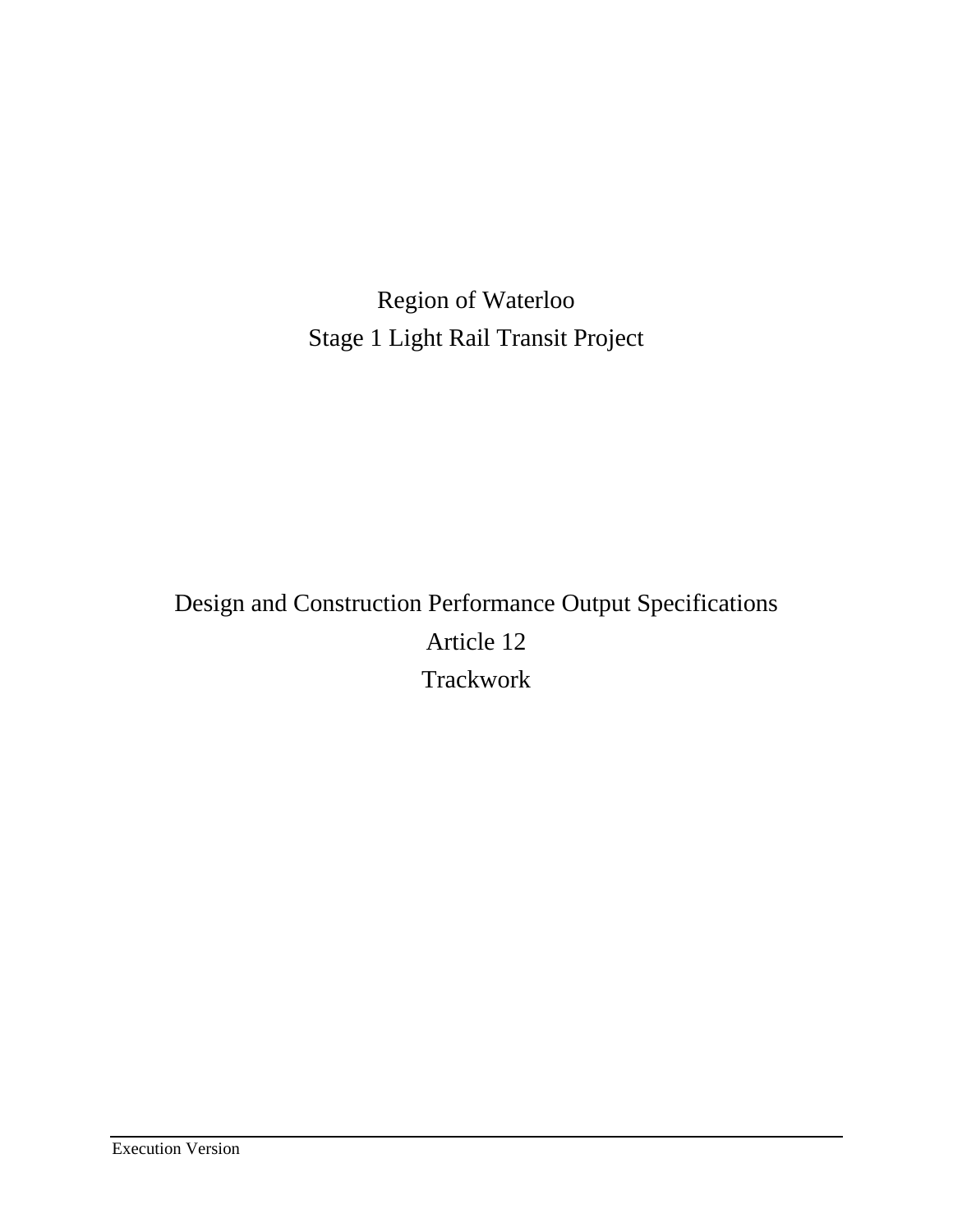Region of Waterloo Stage 1 Light Rail Transit Project

# Design and Construction Performance Output Specifications Article 12 **Trackwork**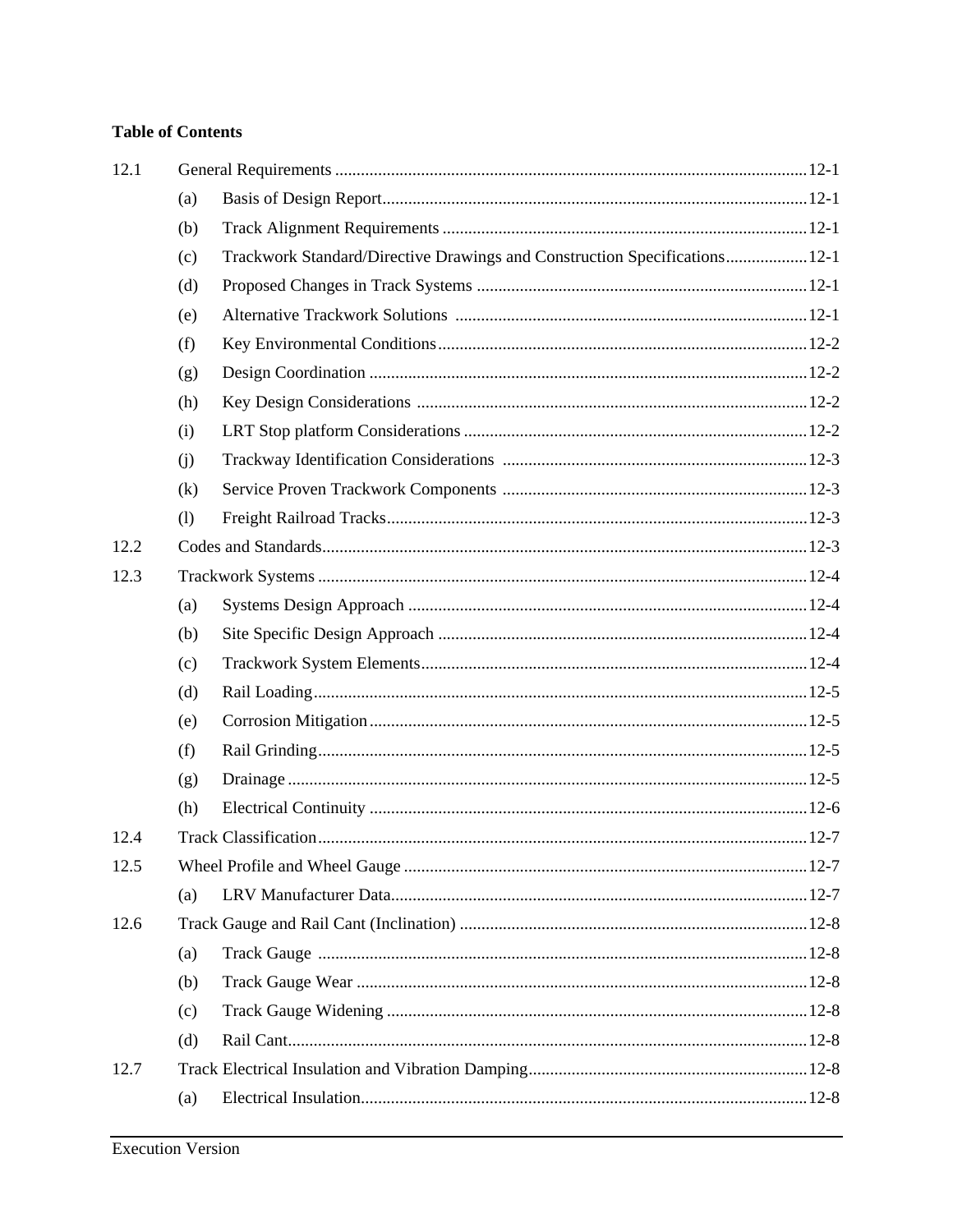## **Table of Contents**

| (a) |                                                                            |  |
|-----|----------------------------------------------------------------------------|--|
| (b) |                                                                            |  |
| (c) | Trackwork Standard/Directive Drawings and Construction Specifications 12-1 |  |
| (d) |                                                                            |  |
| (e) |                                                                            |  |
| (f) |                                                                            |  |
| (g) |                                                                            |  |
| (h) |                                                                            |  |
| (i) |                                                                            |  |
| (i) |                                                                            |  |
| (k) |                                                                            |  |
| (1) |                                                                            |  |
|     |                                                                            |  |
|     |                                                                            |  |
| (a) |                                                                            |  |
| (b) |                                                                            |  |
| (c) |                                                                            |  |
| (d) |                                                                            |  |
| (e) |                                                                            |  |
| (f) |                                                                            |  |
| (g) |                                                                            |  |
| (h) |                                                                            |  |
|     |                                                                            |  |
|     |                                                                            |  |
| (a) |                                                                            |  |
|     |                                                                            |  |
| (a) |                                                                            |  |
| (b) |                                                                            |  |
| (c) |                                                                            |  |
| (d) |                                                                            |  |
|     |                                                                            |  |
| (a) |                                                                            |  |
|     |                                                                            |  |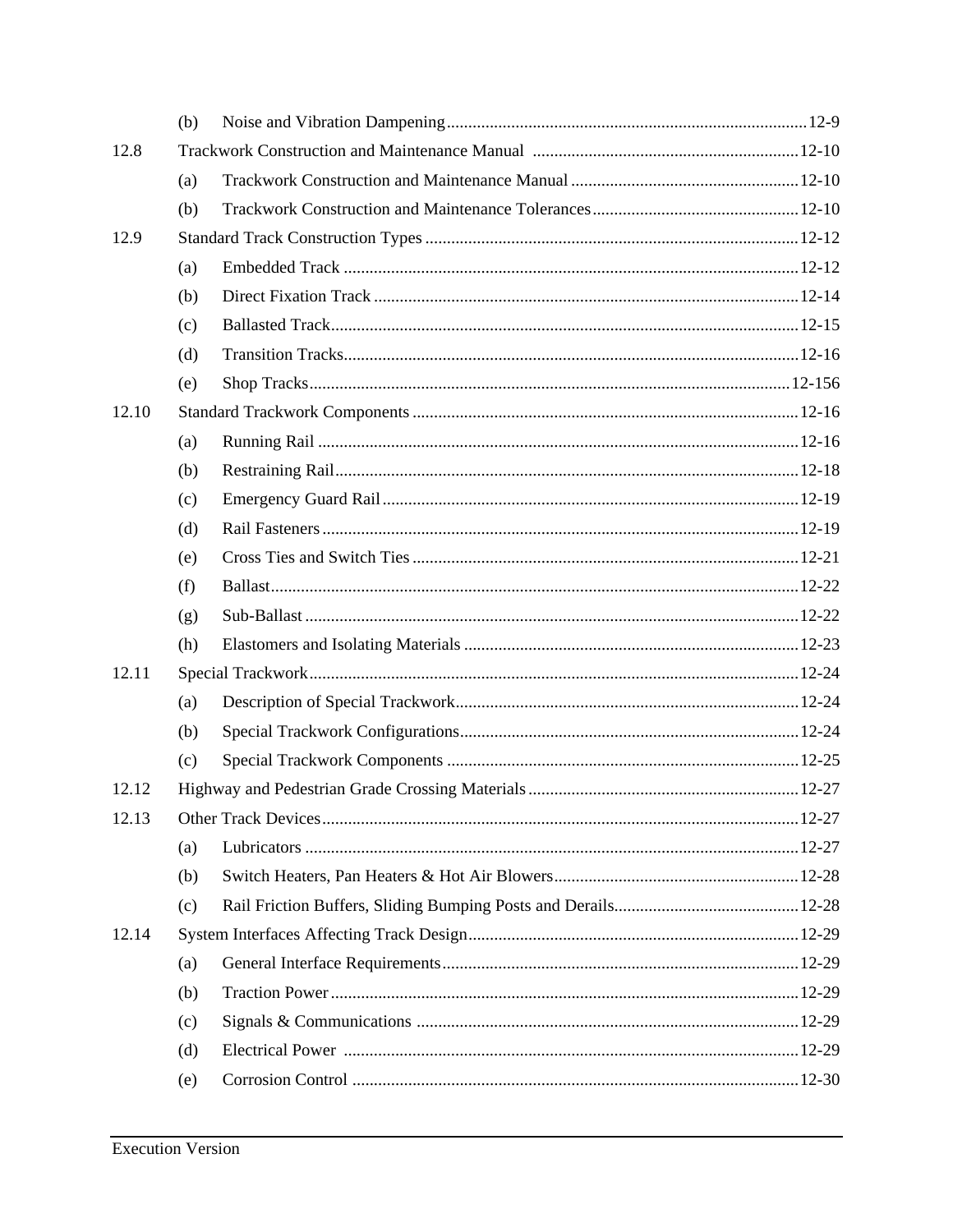|       | (b) |  |
|-------|-----|--|
| 12.8  |     |  |
|       | (a) |  |
|       | (b) |  |
| 12.9  |     |  |
|       | (a) |  |
|       | (b) |  |
|       | (c) |  |
|       | (d) |  |
|       | (e) |  |
| 12.10 |     |  |
|       | (a) |  |
|       | (b) |  |
|       | (c) |  |
|       | (d) |  |
|       | (e) |  |
|       | (f) |  |
|       | (g) |  |
|       | (h) |  |
| 12.11 |     |  |
|       | (a) |  |
|       | (b) |  |
|       | (c) |  |
| 12.12 |     |  |
| 12.13 |     |  |
|       | (a) |  |
|       | (b) |  |
|       | (c) |  |
| 12.14 |     |  |
|       | (a) |  |
|       | (b) |  |
|       | (c) |  |
|       | (d) |  |
|       | (e) |  |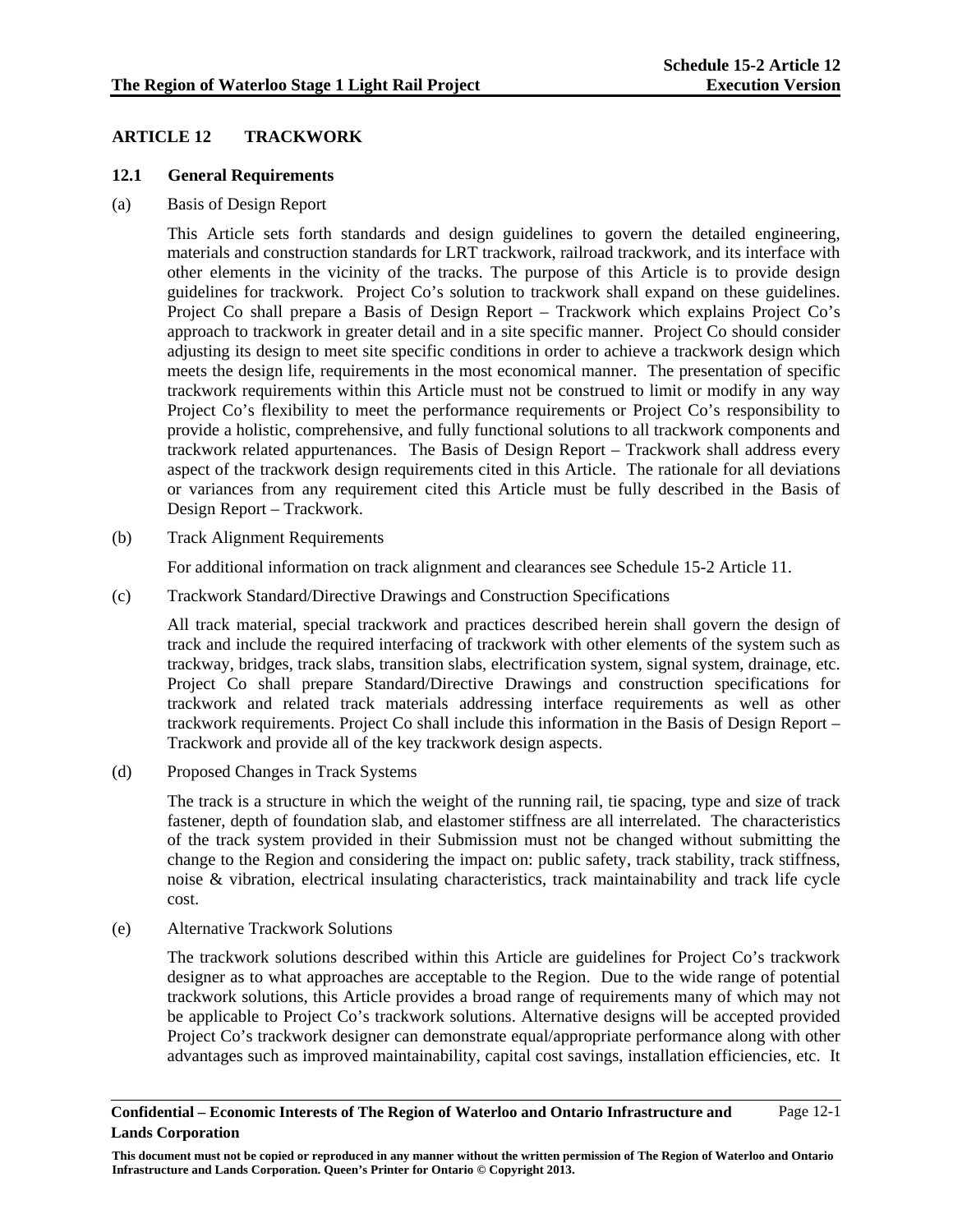### **ARTICLE 12 TRACKWORK**

### **12.1 General Requirements**

(a) Basis of Design Report

This Article sets forth standards and design guidelines to govern the detailed engineering, materials and construction standards for LRT trackwork, railroad trackwork, and its interface with other elements in the vicinity of the tracks. The purpose of this Article is to provide design guidelines for trackwork. Project Co's solution to trackwork shall expand on these guidelines. Project Co shall prepare a Basis of Design Report – Trackwork which explains Project Co's approach to trackwork in greater detail and in a site specific manner. Project Co should consider adjusting its design to meet site specific conditions in order to achieve a trackwork design which meets the design life, requirements in the most economical manner. The presentation of specific trackwork requirements within this Article must not be construed to limit or modify in any way Project Co's flexibility to meet the performance requirements or Project Co's responsibility to provide a holistic, comprehensive, and fully functional solutions to all trackwork components and trackwork related appurtenances. The Basis of Design Report – Trackwork shall address every aspect of the trackwork design requirements cited in this Article. The rationale for all deviations or variances from any requirement cited this Article must be fully described in the Basis of Design Report – Trackwork.

(b) Track Alignment Requirements

For additional information on track alignment and clearances see Schedule 15-2 Article 11.

(c) Trackwork Standard/Directive Drawings and Construction Specifications

All track material, special trackwork and practices described herein shall govern the design of track and include the required interfacing of trackwork with other elements of the system such as trackway, bridges, track slabs, transition slabs, electrification system, signal system, drainage, etc. Project Co shall prepare Standard/Directive Drawings and construction specifications for trackwork and related track materials addressing interface requirements as well as other trackwork requirements. Project Co shall include this information in the Basis of Design Report – Trackwork and provide all of the key trackwork design aspects.

(d) Proposed Changes in Track Systems

The track is a structure in which the weight of the running rail, tie spacing, type and size of track fastener, depth of foundation slab, and elastomer stiffness are all interrelated. The characteristics of the track system provided in their Submission must not be changed without submitting the change to the Region and considering the impact on: public safety, track stability, track stiffness, noise & vibration, electrical insulating characteristics, track maintainability and track life cycle cost.

(e) Alternative Trackwork Solutions

The trackwork solutions described within this Article are guidelines for Project Co's trackwork designer as to what approaches are acceptable to the Region. Due to the wide range of potential trackwork solutions, this Article provides a broad range of requirements many of which may not be applicable to Project Co's trackwork solutions. Alternative designs will be accepted provided Project Co's trackwork designer can demonstrate equal/appropriate performance along with other advantages such as improved maintainability, capital cost savings, installation efficiencies, etc. It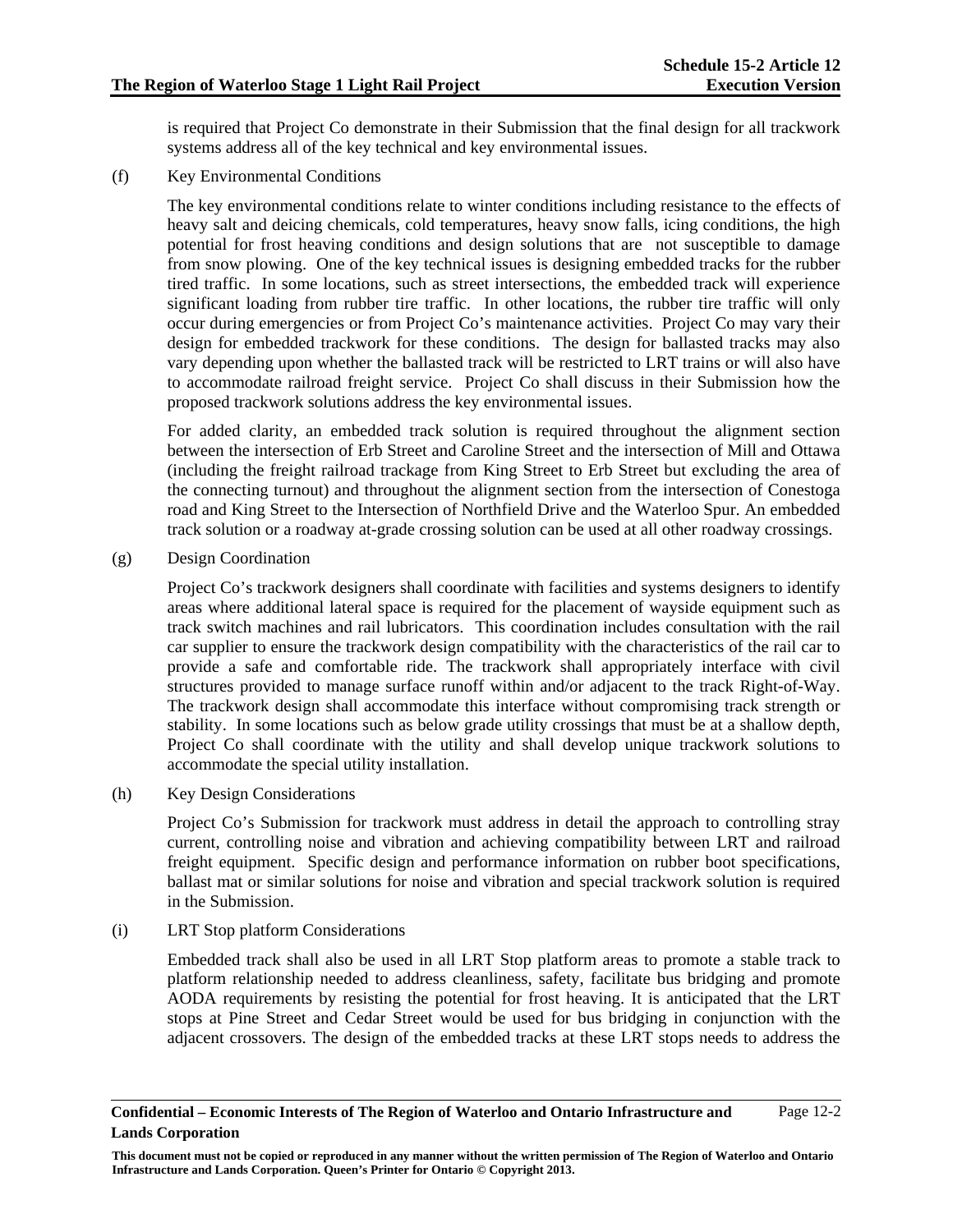is required that Project Co demonstrate in their Submission that the final design for all trackwork systems address all of the key technical and key environmental issues.

(f) Key Environmental Conditions

The key environmental conditions relate to winter conditions including resistance to the effects of heavy salt and deicing chemicals, cold temperatures, heavy snow falls, icing conditions, the high potential for frost heaving conditions and design solutions that are not susceptible to damage from snow plowing. One of the key technical issues is designing embedded tracks for the rubber tired traffic. In some locations, such as street intersections, the embedded track will experience significant loading from rubber tire traffic. In other locations, the rubber tire traffic will only occur during emergencies or from Project Co's maintenance activities. Project Co may vary their design for embedded trackwork for these conditions. The design for ballasted tracks may also vary depending upon whether the ballasted track will be restricted to LRT trains or will also have to accommodate railroad freight service. Project Co shall discuss in their Submission how the proposed trackwork solutions address the key environmental issues.

For added clarity, an embedded track solution is required throughout the alignment section between the intersection of Erb Street and Caroline Street and the intersection of Mill and Ottawa (including the freight railroad trackage from King Street to Erb Street but excluding the area of the connecting turnout) and throughout the alignment section from the intersection of Conestoga road and King Street to the Intersection of Northfield Drive and the Waterloo Spur. An embedded track solution or a roadway at-grade crossing solution can be used at all other roadway crossings.

(g) Design Coordination

Project Co's trackwork designers shall coordinate with facilities and systems designers to identify areas where additional lateral space is required for the placement of wayside equipment such as track switch machines and rail lubricators. This coordination includes consultation with the rail car supplier to ensure the trackwork design compatibility with the characteristics of the rail car to provide a safe and comfortable ride. The trackwork shall appropriately interface with civil structures provided to manage surface runoff within and/or adjacent to the track Right-of-Way. The trackwork design shall accommodate this interface without compromising track strength or stability. In some locations such as below grade utility crossings that must be at a shallow depth, Project Co shall coordinate with the utility and shall develop unique trackwork solutions to accommodate the special utility installation.

(h) Key Design Considerations

Project Co's Submission for trackwork must address in detail the approach to controlling stray current, controlling noise and vibration and achieving compatibility between LRT and railroad freight equipment. Specific design and performance information on rubber boot specifications, ballast mat or similar solutions for noise and vibration and special trackwork solution is required in the Submission.

(i) LRT Stop platform Considerations

Embedded track shall also be used in all LRT Stop platform areas to promote a stable track to platform relationship needed to address cleanliness, safety, facilitate bus bridging and promote AODA requirements by resisting the potential for frost heaving. It is anticipated that the LRT stops at Pine Street and Cedar Street would be used for bus bridging in conjunction with the adjacent crossovers. The design of the embedded tracks at these LRT stops needs to address the

**This document must not be copied or reproduced in any manner without the written permission of The Region of Waterloo and Ontario Infrastructure and Lands Corporation. Queen's Printer for Ontario © Copyright 2013.**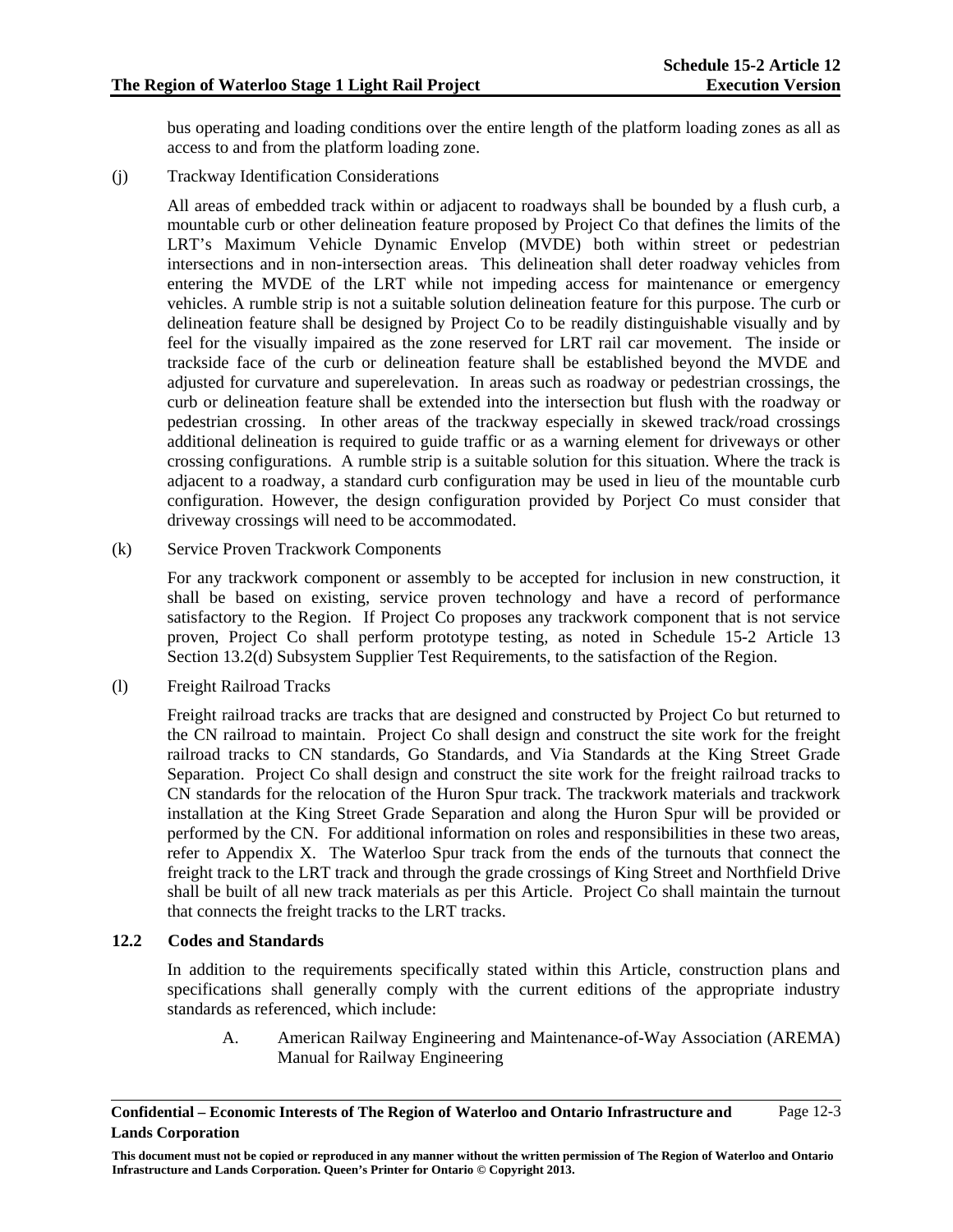bus operating and loading conditions over the entire length of the platform loading zones as all as access to and from the platform loading zone.

(j) Trackway Identification Considerations

All areas of embedded track within or adjacent to roadways shall be bounded by a flush curb, a mountable curb or other delineation feature proposed by Project Co that defines the limits of the LRT's Maximum Vehicle Dynamic Envelop (MVDE) both within street or pedestrian intersections and in non-intersection areas. This delineation shall deter roadway vehicles from entering the MVDE of the LRT while not impeding access for maintenance or emergency vehicles. A rumble strip is not a suitable solution delineation feature for this purpose. The curb or delineation feature shall be designed by Project Co to be readily distinguishable visually and by feel for the visually impaired as the zone reserved for LRT rail car movement. The inside or trackside face of the curb or delineation feature shall be established beyond the MVDE and adjusted for curvature and superelevation. In areas such as roadway or pedestrian crossings, the curb or delineation feature shall be extended into the intersection but flush with the roadway or pedestrian crossing. In other areas of the trackway especially in skewed track/road crossings additional delineation is required to guide traffic or as a warning element for driveways or other crossing configurations. A rumble strip is a suitable solution for this situation. Where the track is adjacent to a roadway, a standard curb configuration may be used in lieu of the mountable curb configuration. However, the design configuration provided by Porject Co must consider that driveway crossings will need to be accommodated.

(k) Service Proven Trackwork Components

For any trackwork component or assembly to be accepted for inclusion in new construction, it shall be based on existing, service proven technology and have a record of performance satisfactory to the Region. If Project Co proposes any trackwork component that is not service proven, Project Co shall perform prototype testing, as noted in Schedule 15-2 Article 13 Section 13.2(d) Subsystem Supplier Test Requirements, to the satisfaction of the Region.

(l) Freight Railroad Tracks

Freight railroad tracks are tracks that are designed and constructed by Project Co but returned to the CN railroad to maintain. Project Co shall design and construct the site work for the freight railroad tracks to CN standards, Go Standards, and Via Standards at the King Street Grade Separation. Project Co shall design and construct the site work for the freight railroad tracks to CN standards for the relocation of the Huron Spur track. The trackwork materials and trackwork installation at the King Street Grade Separation and along the Huron Spur will be provided or performed by the CN. For additional information on roles and responsibilities in these two areas, refer to Appendix X. The Waterloo Spur track from the ends of the turnouts that connect the freight track to the LRT track and through the grade crossings of King Street and Northfield Drive shall be built of all new track materials as per this Article. Project Co shall maintain the turnout that connects the freight tracks to the LRT tracks.

### **12.2 Codes and Standards**

In addition to the requirements specifically stated within this Article, construction plans and specifications shall generally comply with the current editions of the appropriate industry standards as referenced, which include:

A. American Railway Engineering and Maintenance-of-Way Association (AREMA) Manual for Railway Engineering

**Confidential – Economic Interests of The Region of Waterloo and Ontario Infrastructure and Lands Corporation**  Page 12-3

**This document must not be copied or reproduced in any manner without the written permission of The Region of Waterloo and Ontario Infrastructure and Lands Corporation. Queen's Printer for Ontario © Copyright 2013.**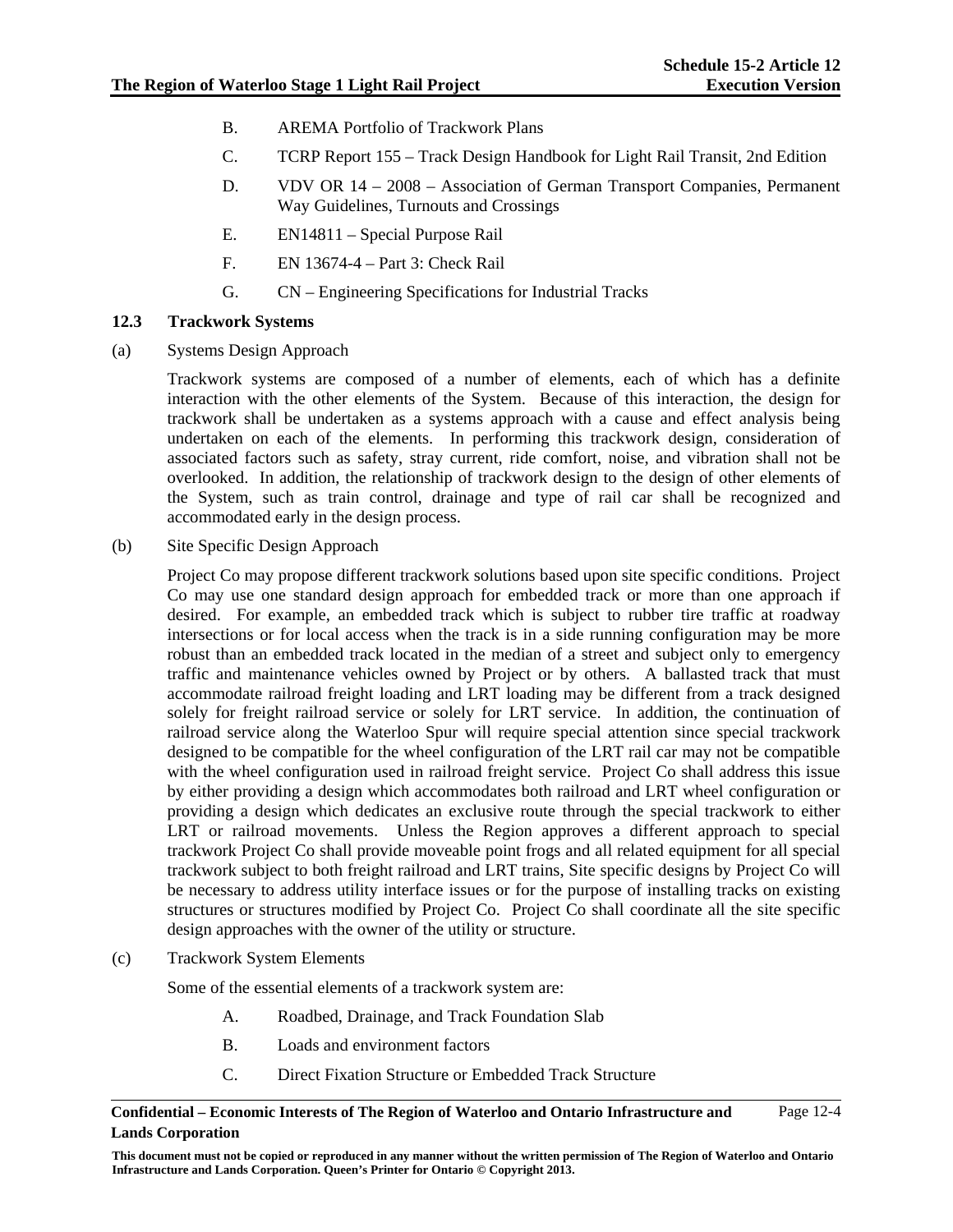- B. AREMA Portfolio of Trackwork Plans
- C. TCRP Report 155 Track Design Handbook for Light Rail Transit, 2nd Edition
- D. VDV OR 14 2008 Association of German Transport Companies, Permanent Way Guidelines, Turnouts and Crossings
- E. EN14811 Special Purpose Rail
- F. EN 13674-4 Part 3: Check Rail
- G. CN Engineering Specifications for Industrial Tracks

### **12.3 Trackwork Systems**

(a) Systems Design Approach

Trackwork systems are composed of a number of elements, each of which has a definite interaction with the other elements of the System. Because of this interaction, the design for trackwork shall be undertaken as a systems approach with a cause and effect analysis being undertaken on each of the elements. In performing this trackwork design, consideration of associated factors such as safety, stray current, ride comfort, noise, and vibration shall not be overlooked. In addition, the relationship of trackwork design to the design of other elements of the System, such as train control, drainage and type of rail car shall be recognized and accommodated early in the design process.

(b) Site Specific Design Approach

Project Co may propose different trackwork solutions based upon site specific conditions. Project Co may use one standard design approach for embedded track or more than one approach if desired. For example, an embedded track which is subject to rubber tire traffic at roadway intersections or for local access when the track is in a side running configuration may be more robust than an embedded track located in the median of a street and subject only to emergency traffic and maintenance vehicles owned by Project or by others. A ballasted track that must accommodate railroad freight loading and LRT loading may be different from a track designed solely for freight railroad service or solely for LRT service. In addition, the continuation of railroad service along the Waterloo Spur will require special attention since special trackwork designed to be compatible for the wheel configuration of the LRT rail car may not be compatible with the wheel configuration used in railroad freight service. Project Co shall address this issue by either providing a design which accommodates both railroad and LRT wheel configuration or providing a design which dedicates an exclusive route through the special trackwork to either LRT or railroad movements. Unless the Region approves a different approach to special trackwork Project Co shall provide moveable point frogs and all related equipment for all special trackwork subject to both freight railroad and LRT trains, Site specific designs by Project Co will be necessary to address utility interface issues or for the purpose of installing tracks on existing structures or structures modified by Project Co. Project Co shall coordinate all the site specific design approaches with the owner of the utility or structure.

(c) Trackwork System Elements

Some of the essential elements of a trackwork system are:

- A. Roadbed, Drainage, and Track Foundation Slab
- B. Loads and environment factors
- C. Direct Fixation Structure or Embedded Track Structure

#### **Confidential – Economic Interests of The Region of Waterloo and Ontario Infrastructure and Lands Corporation**  Page 12-4

**This document must not be copied or reproduced in any manner without the written permission of The Region of Waterloo and Ontario Infrastructure and Lands Corporation. Queen's Printer for Ontario © Copyright 2013.**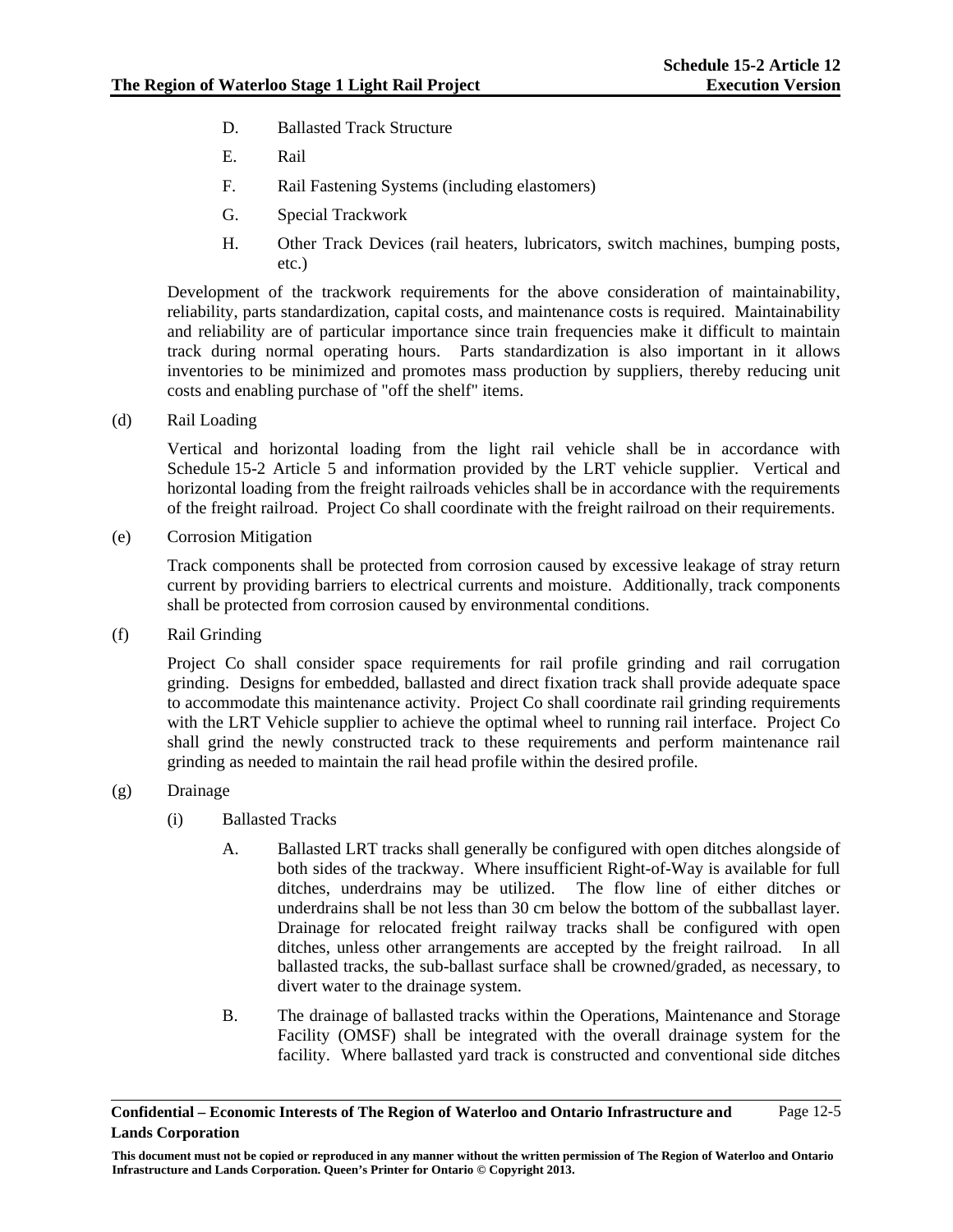- D. Ballasted Track Structure
- E. Rail
- F. Rail Fastening Systems (including elastomers)
- G. Special Trackwork
- H. Other Track Devices (rail heaters, lubricators, switch machines, bumping posts, etc.)

Development of the trackwork requirements for the above consideration of maintainability, reliability, parts standardization, capital costs, and maintenance costs is required. Maintainability and reliability are of particular importance since train frequencies make it difficult to maintain track during normal operating hours. Parts standardization is also important in it allows inventories to be minimized and promotes mass production by suppliers, thereby reducing unit costs and enabling purchase of "off the shelf" items.

(d) Rail Loading

Vertical and horizontal loading from the light rail vehicle shall be in accordance with Schedule 15-2 Article 5 and information provided by the LRT vehicle supplier. Vertical and horizontal loading from the freight railroads vehicles shall be in accordance with the requirements of the freight railroad. Project Co shall coordinate with the freight railroad on their requirements.

(e) Corrosion Mitigation

Track components shall be protected from corrosion caused by excessive leakage of stray return current by providing barriers to electrical currents and moisture. Additionally, track components shall be protected from corrosion caused by environmental conditions.

(f) Rail Grinding

Project Co shall consider space requirements for rail profile grinding and rail corrugation grinding. Designs for embedded, ballasted and direct fixation track shall provide adequate space to accommodate this maintenance activity. Project Co shall coordinate rail grinding requirements with the LRT Vehicle supplier to achieve the optimal wheel to running rail interface. Project Co shall grind the newly constructed track to these requirements and perform maintenance rail grinding as needed to maintain the rail head profile within the desired profile.

- (g) Drainage
	- (i) Ballasted Tracks
		- A. Ballasted LRT tracks shall generally be configured with open ditches alongside of both sides of the trackway. Where insufficient Right-of-Way is available for full ditches, underdrains may be utilized. The flow line of either ditches or underdrains shall be not less than 30 cm below the bottom of the subballast layer. Drainage for relocated freight railway tracks shall be configured with open ditches, unless other arrangements are accepted by the freight railroad. In all ballasted tracks, the sub-ballast surface shall be crowned/graded, as necessary, to divert water to the drainage system.
		- B. The drainage of ballasted tracks within the Operations, Maintenance and Storage Facility (OMSF) shall be integrated with the overall drainage system for the facility. Where ballasted yard track is constructed and conventional side ditches

**Confidential – Economic Interests of The Region of Waterloo and Ontario Infrastructure and Lands Corporation**  Page 12-5

**This document must not be copied or reproduced in any manner without the written permission of The Region of Waterloo and Ontario Infrastructure and Lands Corporation. Queen's Printer for Ontario © Copyright 2013.**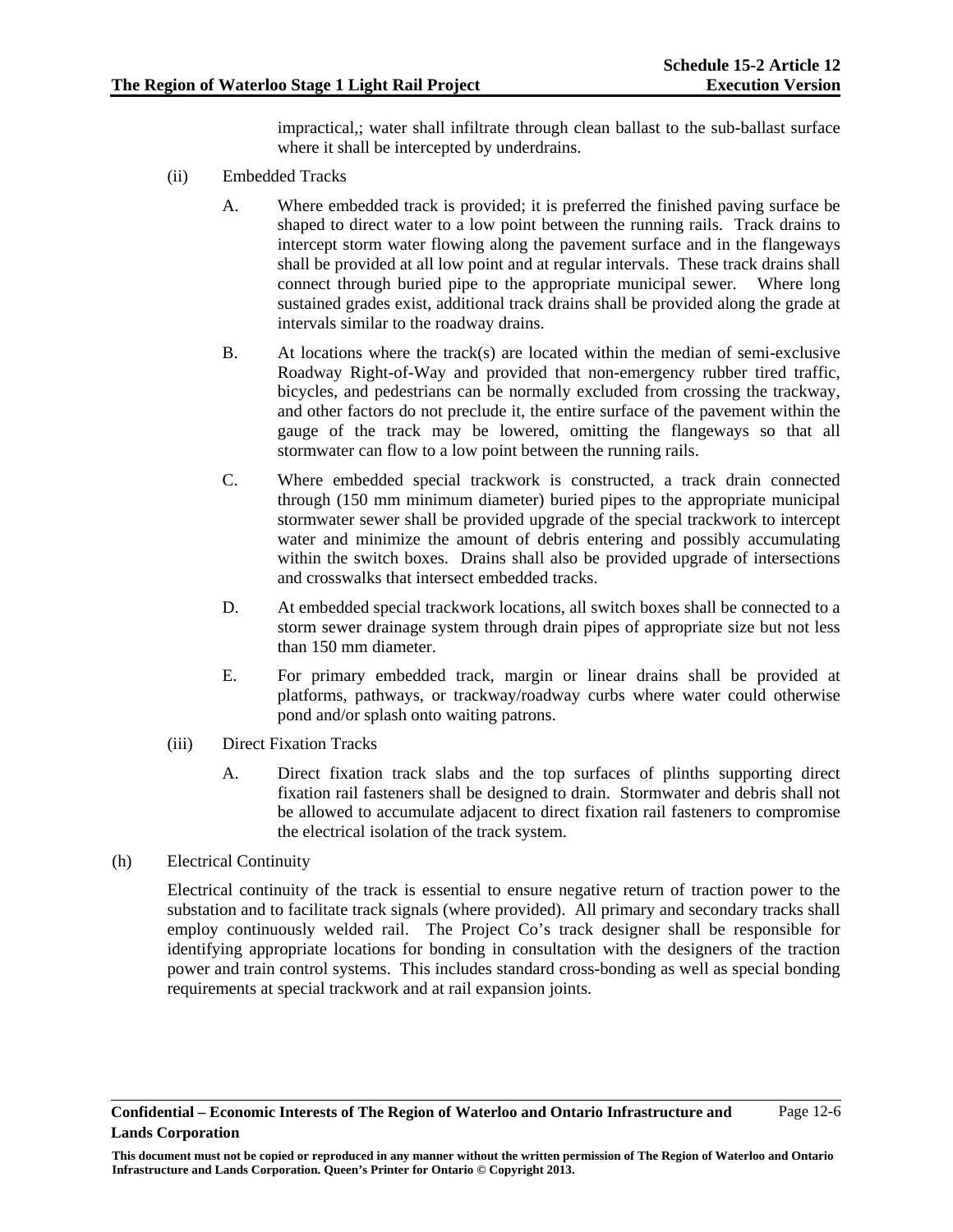impractical,; water shall infiltrate through clean ballast to the sub-ballast surface where it shall be intercepted by underdrains.

- (ii) Embedded Tracks
	- A. Where embedded track is provided; it is preferred the finished paving surface be shaped to direct water to a low point between the running rails. Track drains to intercept storm water flowing along the pavement surface and in the flangeways shall be provided at all low point and at regular intervals. These track drains shall connect through buried pipe to the appropriate municipal sewer. Where long sustained grades exist, additional track drains shall be provided along the grade at intervals similar to the roadway drains.
	- B. At locations where the track(s) are located within the median of semi-exclusive Roadway Right-of-Way and provided that non-emergency rubber tired traffic, bicycles, and pedestrians can be normally excluded from crossing the trackway, and other factors do not preclude it, the entire surface of the pavement within the gauge of the track may be lowered, omitting the flangeways so that all stormwater can flow to a low point between the running rails.
	- C. Where embedded special trackwork is constructed, a track drain connected through (150 mm minimum diameter) buried pipes to the appropriate municipal stormwater sewer shall be provided upgrade of the special trackwork to intercept water and minimize the amount of debris entering and possibly accumulating within the switch boxes. Drains shall also be provided upgrade of intersections and crosswalks that intersect embedded tracks.
	- D. At embedded special trackwork locations, all switch boxes shall be connected to a storm sewer drainage system through drain pipes of appropriate size but not less than 150 mm diameter.
	- E. For primary embedded track, margin or linear drains shall be provided at platforms, pathways, or trackway/roadway curbs where water could otherwise pond and/or splash onto waiting patrons.
- (iii) Direct Fixation Tracks
	- A. Direct fixation track slabs and the top surfaces of plinths supporting direct fixation rail fasteners shall be designed to drain. Stormwater and debris shall not be allowed to accumulate adjacent to direct fixation rail fasteners to compromise the electrical isolation of the track system.
- (h) Electrical Continuity

Electrical continuity of the track is essential to ensure negative return of traction power to the substation and to facilitate track signals (where provided). All primary and secondary tracks shall employ continuously welded rail. The Project Co's track designer shall be responsible for identifying appropriate locations for bonding in consultation with the designers of the traction power and train control systems. This includes standard cross-bonding as well as special bonding requirements at special trackwork and at rail expansion joints.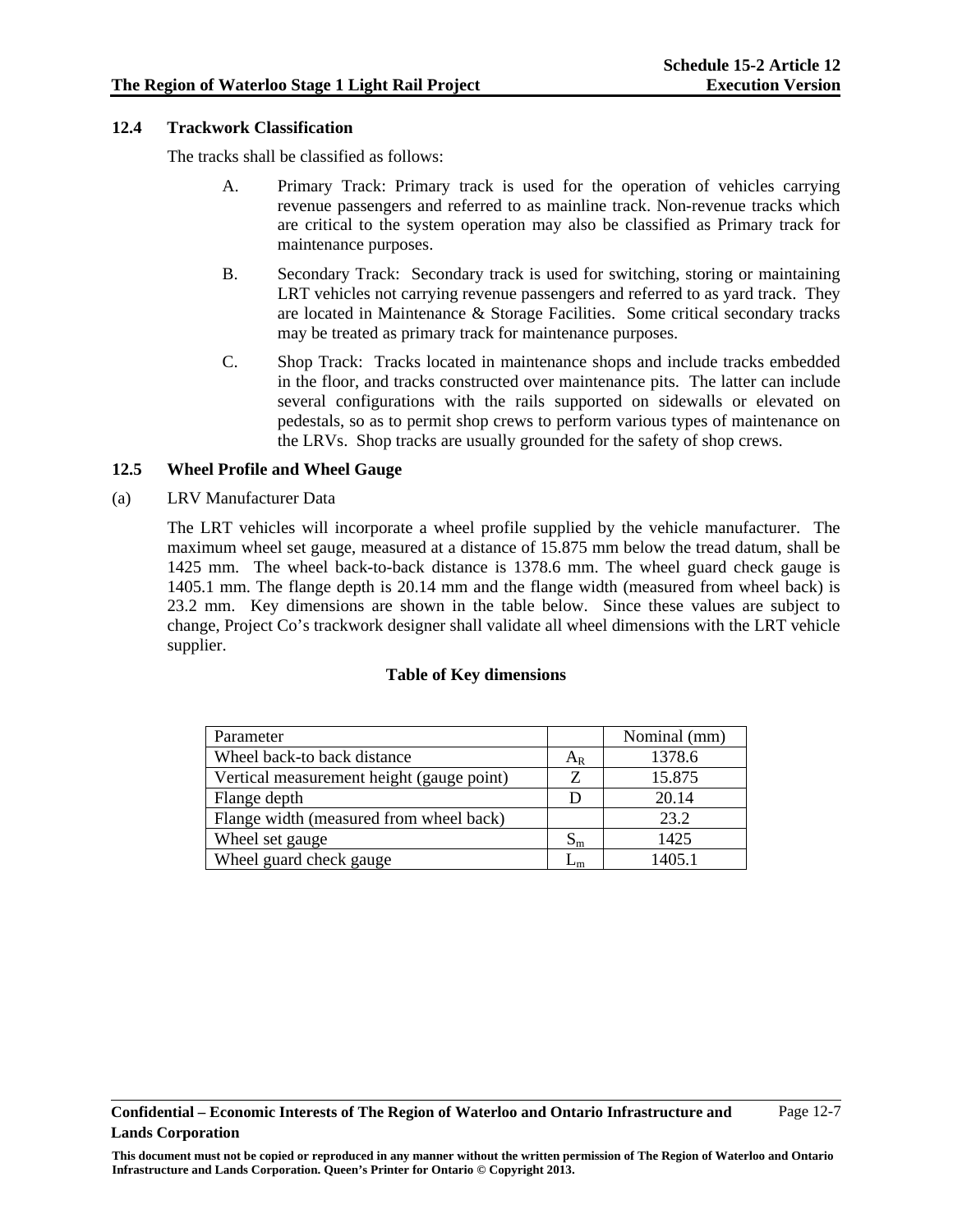#### **12.4 Trackwork Classification**

The tracks shall be classified as follows:

- A. Primary Track: Primary track is used for the operation of vehicles carrying revenue passengers and referred to as mainline track. Non-revenue tracks which are critical to the system operation may also be classified as Primary track for maintenance purposes.
- B. Secondary Track: Secondary track is used for switching, storing or maintaining LRT vehicles not carrying revenue passengers and referred to as yard track. They are located in Maintenance & Storage Facilities. Some critical secondary tracks may be treated as primary track for maintenance purposes.
- C. Shop Track: Tracks located in maintenance shops and include tracks embedded in the floor, and tracks constructed over maintenance pits. The latter can include several configurations with the rails supported on sidewalls or elevated on pedestals, so as to permit shop crews to perform various types of maintenance on the LRVs. Shop tracks are usually grounded for the safety of shop crews.

#### **12.5 Wheel Profile and Wheel Gauge**

(a) LRV Manufacturer Data

The LRT vehicles will incorporate a wheel profile supplied by the vehicle manufacturer. The maximum wheel set gauge, measured at a distance of 15.875 mm below the tread datum, shall be 1425 mm. The wheel back-to-back distance is 1378.6 mm. The wheel guard check gauge is 1405.1 mm. The flange depth is 20.14 mm and the flange width (measured from wheel back) is 23.2 mm. Key dimensions are shown in the table below. Since these values are subject to change, Project Co's trackwork designer shall validate all wheel dimensions with the LRT vehicle supplier.

#### **Table of Key dimensions**

| Parameter                                 |         | Nominal (mm) |
|-------------------------------------------|---------|--------------|
| Wheel back-to back distance               | $A_{R}$ | 1378.6       |
| Vertical measurement height (gauge point) |         | 15.875       |
| Flange depth                              |         | 20.14        |
| Flange width (measured from wheel back)   |         | 23.2         |
| Wheel set gauge                           | $S_{m}$ | 1425         |
| Wheel guard check gauge                   |         | 1405.1       |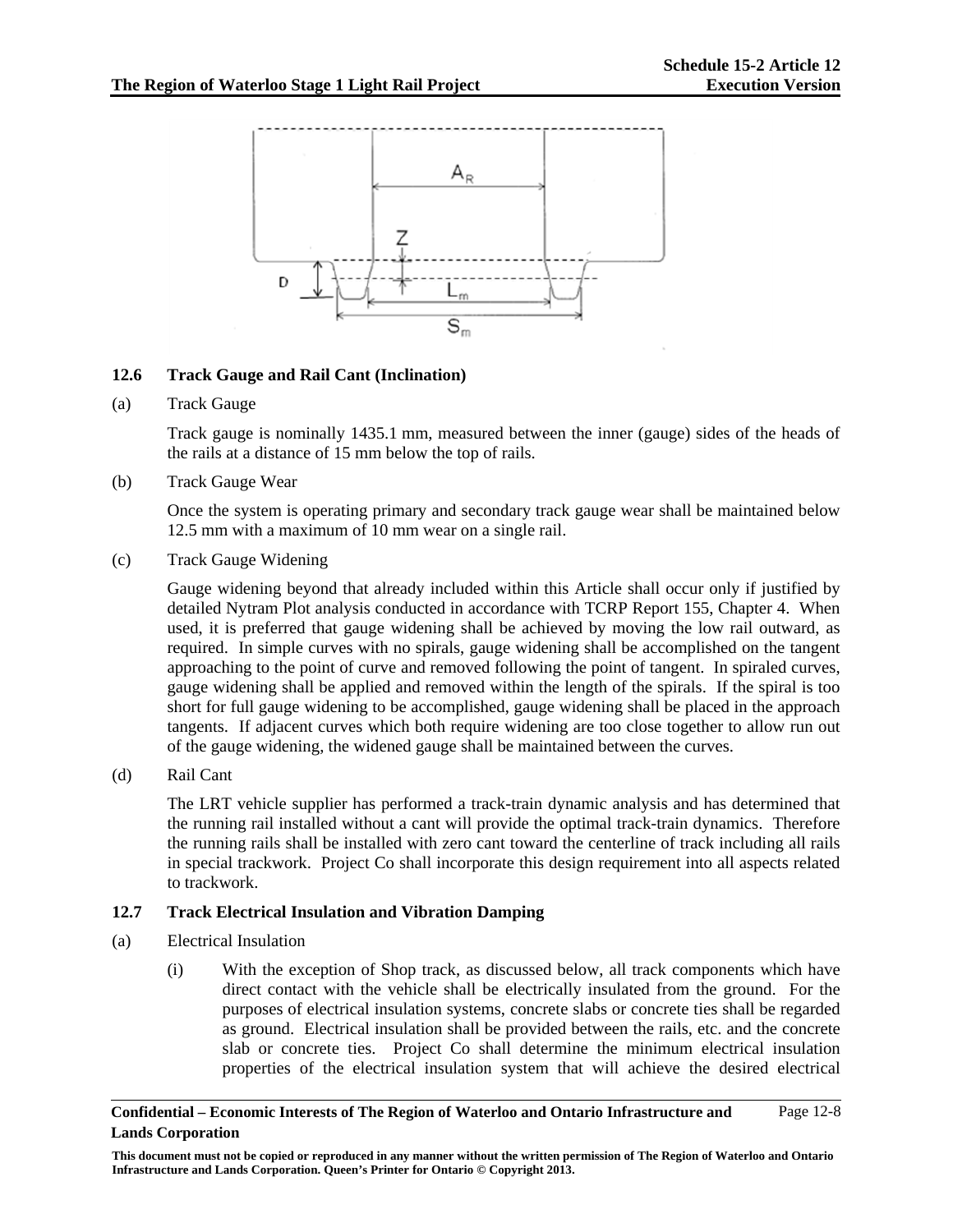

### **12.6 Track Gauge and Rail Cant (Inclination)**

#### (a) Track Gauge

Track gauge is nominally 1435.1 mm, measured between the inner (gauge) sides of the heads of the rails at a distance of 15 mm below the top of rails.

#### (b) Track Gauge Wear

Once the system is operating primary and secondary track gauge wear shall be maintained below 12.5 mm with a maximum of 10 mm wear on a single rail.

#### (c) Track Gauge Widening

Gauge widening beyond that already included within this Article shall occur only if justified by detailed Nytram Plot analysis conducted in accordance with TCRP Report 155, Chapter 4. When used, it is preferred that gauge widening shall be achieved by moving the low rail outward, as required. In simple curves with no spirals, gauge widening shall be accomplished on the tangent approaching to the point of curve and removed following the point of tangent. In spiraled curves, gauge widening shall be applied and removed within the length of the spirals. If the spiral is too short for full gauge widening to be accomplished, gauge widening shall be placed in the approach tangents. If adjacent curves which both require widening are too close together to allow run out of the gauge widening, the widened gauge shall be maintained between the curves.

### (d) Rail Cant

The LRT vehicle supplier has performed a track-train dynamic analysis and has determined that the running rail installed without a cant will provide the optimal track-train dynamics. Therefore the running rails shall be installed with zero cant toward the centerline of track including all rails in special trackwork. Project Co shall incorporate this design requirement into all aspects related to trackwork.

### **12.7 Track Electrical Insulation and Vibration Damping**

- (a) Electrical Insulation
	- (i) With the exception of Shop track, as discussed below, all track components which have direct contact with the vehicle shall be electrically insulated from the ground. For the purposes of electrical insulation systems, concrete slabs or concrete ties shall be regarded as ground. Electrical insulation shall be provided between the rails, etc. and the concrete slab or concrete ties. Project Co shall determine the minimum electrical insulation properties of the electrical insulation system that will achieve the desired electrical

#### **Confidential – Economic Interests of The Region of Waterloo and Ontario Infrastructure and Lands Corporation**  Page 12-8

**This document must not be copied or reproduced in any manner without the written permission of The Region of Waterloo and Ontario Infrastructure and Lands Corporation. Queen's Printer for Ontario © Copyright 2013.**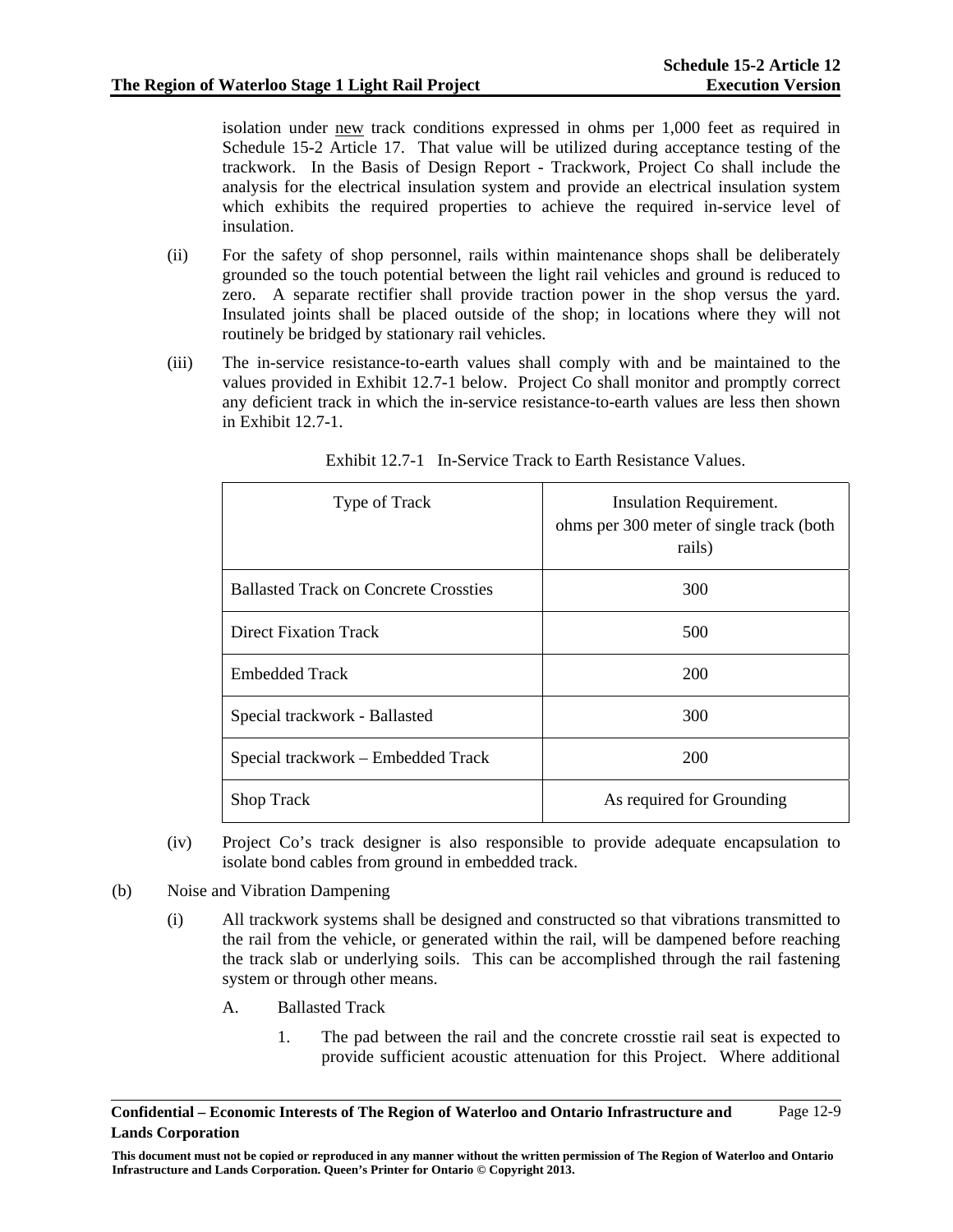isolation under new track conditions expressed in ohms per 1,000 feet as required in Schedule 15-2 Article 17. That value will be utilized during acceptance testing of the trackwork. In the Basis of Design Report - Trackwork, Project Co shall include the analysis for the electrical insulation system and provide an electrical insulation system which exhibits the required properties to achieve the required in-service level of insulation.

- (ii) For the safety of shop personnel, rails within maintenance shops shall be deliberately grounded so the touch potential between the light rail vehicles and ground is reduced to zero. A separate rectifier shall provide traction power in the shop versus the yard. Insulated joints shall be placed outside of the shop; in locations where they will not routinely be bridged by stationary rail vehicles.
- (iii) The in-service resistance-to-earth values shall comply with and be maintained to the values provided in Exhibit 12.7-1 below. Project Co shall monitor and promptly correct any deficient track in which the in-service resistance-to-earth values are less then shown in Exhibit 12.7-1.

| Type of Track                                | Insulation Requirement.<br>ohms per 300 meter of single track (both<br>rails) |
|----------------------------------------------|-------------------------------------------------------------------------------|
| <b>Ballasted Track on Concrete Crossties</b> | 300                                                                           |
| <b>Direct Fixation Track</b>                 | 500                                                                           |
| <b>Embedded Track</b>                        | 200                                                                           |
| Special trackwork - Ballasted                | 300                                                                           |
| Special trackwork – Embedded Track           | 200                                                                           |
| <b>Shop Track</b>                            | As required for Grounding                                                     |

Exhibit 12.7-1 In-Service Track to Earth Resistance Values.

- (iv) Project Co's track designer is also responsible to provide adequate encapsulation to isolate bond cables from ground in embedded track.
- (b) Noise and Vibration Dampening
	- (i) All trackwork systems shall be designed and constructed so that vibrations transmitted to the rail from the vehicle, or generated within the rail, will be dampened before reaching the track slab or underlying soils. This can be accomplished through the rail fastening system or through other means.
		- A. Ballasted Track
			- 1. The pad between the rail and the concrete crosstie rail seat is expected to provide sufficient acoustic attenuation for this Project. Where additional

**Confidential – Economic Interests of The Region of Waterloo and Ontario Infrastructure and Lands Corporation**  Page 12-9

**This document must not be copied or reproduced in any manner without the written permission of The Region of Waterloo and Ontario Infrastructure and Lands Corporation. Queen's Printer for Ontario © Copyright 2013.**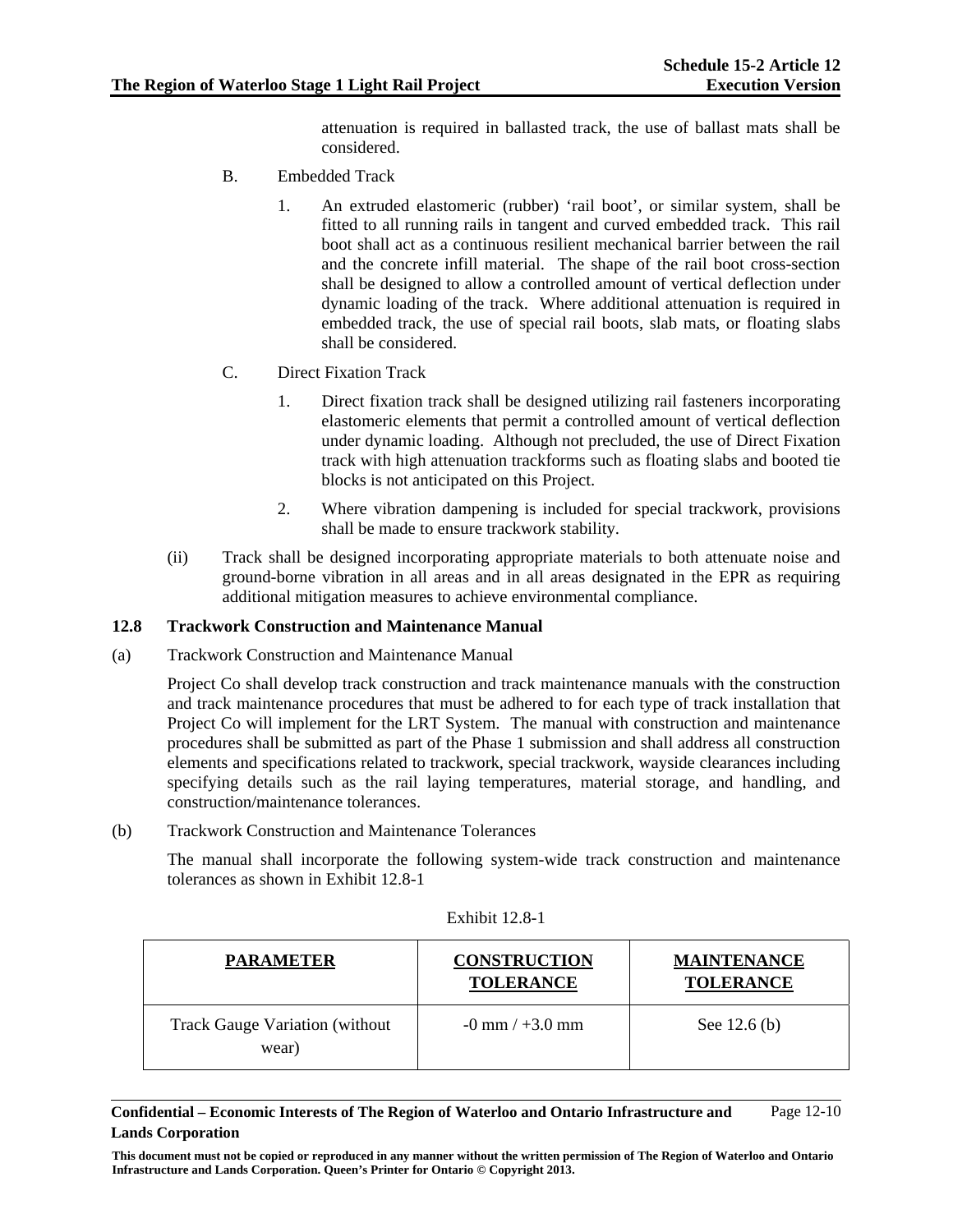attenuation is required in ballasted track, the use of ballast mats shall be considered.

- B. Embedded Track
	- 1. An extruded elastomeric (rubber) 'rail boot', or similar system, shall be fitted to all running rails in tangent and curved embedded track. This rail boot shall act as a continuous resilient mechanical barrier between the rail and the concrete infill material. The shape of the rail boot cross-section shall be designed to allow a controlled amount of vertical deflection under dynamic loading of the track. Where additional attenuation is required in embedded track, the use of special rail boots, slab mats, or floating slabs shall be considered.
- C. Direct Fixation Track
	- 1. Direct fixation track shall be designed utilizing rail fasteners incorporating elastomeric elements that permit a controlled amount of vertical deflection under dynamic loading. Although not precluded, the use of Direct Fixation track with high attenuation trackforms such as floating slabs and booted tie blocks is not anticipated on this Project.
	- 2. Where vibration dampening is included for special trackwork, provisions shall be made to ensure trackwork stability.
- (ii) Track shall be designed incorporating appropriate materials to both attenuate noise and ground-borne vibration in all areas and in all areas designated in the EPR as requiring additional mitigation measures to achieve environmental compliance.

### **12.8 Trackwork Construction and Maintenance Manual**

(a) Trackwork Construction and Maintenance Manual

Project Co shall develop track construction and track maintenance manuals with the construction and track maintenance procedures that must be adhered to for each type of track installation that Project Co will implement for the LRT System. The manual with construction and maintenance procedures shall be submitted as part of the Phase 1 submission and shall address all construction elements and specifications related to trackwork, special trackwork, wayside clearances including specifying details such as the rail laying temperatures, material storage, and handling, and construction/maintenance tolerances.

(b) Trackwork Construction and Maintenance Tolerances

The manual shall incorporate the following system-wide track construction and maintenance tolerances as shown in Exhibit 12.8-1

| <b>PARAMETER</b>                               | <b>CONSTRUCTION</b><br><b>TOLERANCE</b> | <b>MAINTENANCE</b><br><b>TOLERANCE</b> |
|------------------------------------------------|-----------------------------------------|----------------------------------------|
| <b>Track Gauge Variation (without</b><br>wear) | $-0$ mm / $+3.0$ mm                     | See $12.6(b)$                          |

### Exhibit 12.8-1

**Confidential – Economic Interests of The Region of Waterloo and Ontario Infrastructure and Lands Corporation**  Page 12-10

**This document must not be copied or reproduced in any manner without the written permission of The Region of Waterloo and Ontario Infrastructure and Lands Corporation. Queen's Printer for Ontario © Copyright 2013.**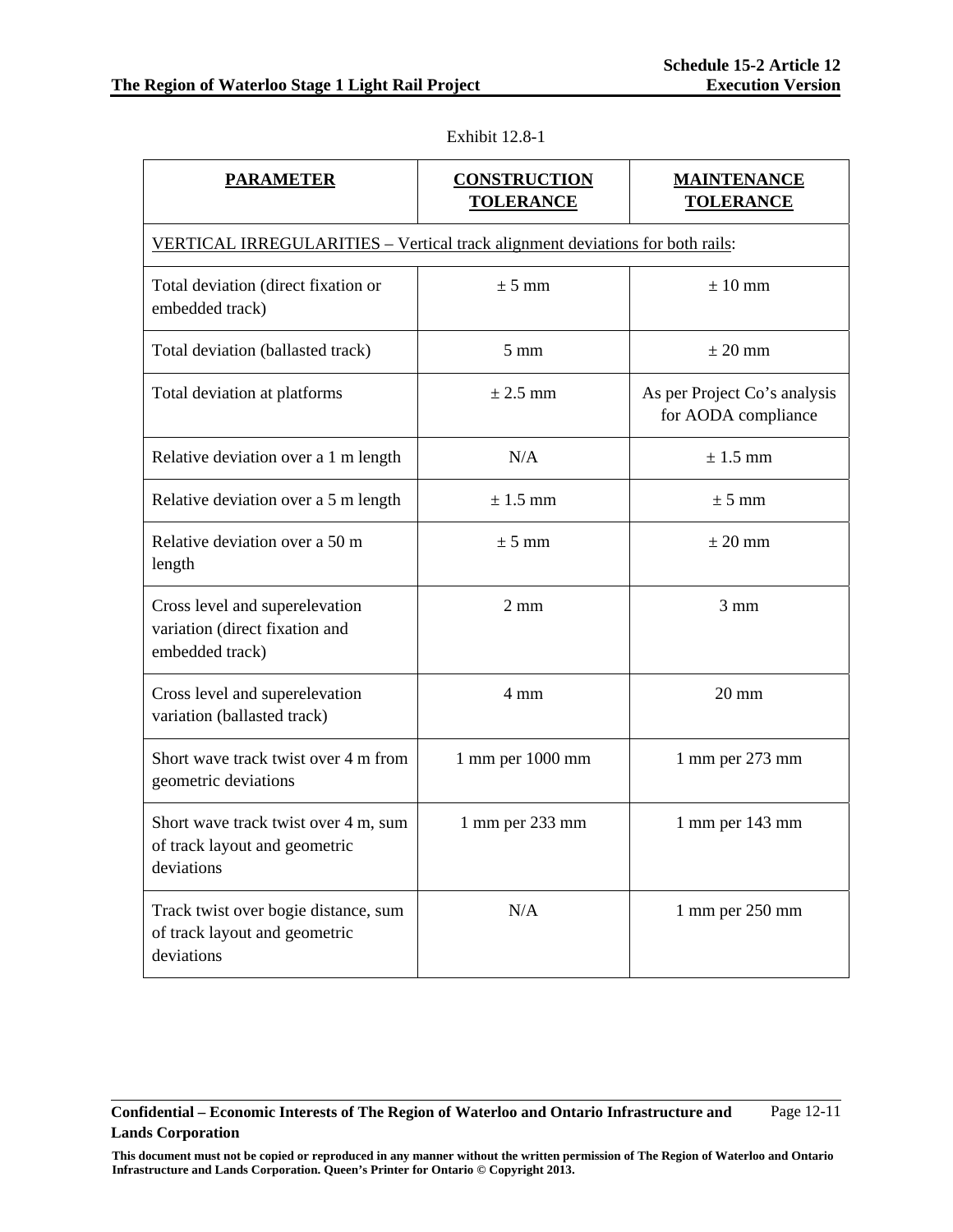| <b>PARAMETER</b>                                                                    | <b>CONSTRUCTION</b><br><b>TOLERANCE</b> | <b>MAINTENANCE</b><br><b>TOLERANCE</b>              |  |
|-------------------------------------------------------------------------------------|-----------------------------------------|-----------------------------------------------------|--|
| VERTICAL IRREGULARITIES - Vertical track alignment deviations for both rails:       |                                         |                                                     |  |
| Total deviation (direct fixation or<br>embedded track)                              | ± 5 mm                                  | $± 10$ mm                                           |  |
| Total deviation (ballasted track)                                                   | $5 \text{ mm}$                          | $\pm 20$ mm                                         |  |
| Total deviation at platforms                                                        | $\pm$ 2.5 mm                            | As per Project Co's analysis<br>for AODA compliance |  |
| Relative deviation over a 1 m length                                                | N/A                                     | $\pm$ 1.5 mm                                        |  |
| Relative deviation over a 5 m length                                                | $\pm$ 1.5 mm                            | $\pm$ 5 mm                                          |  |
| Relative deviation over a 50 m<br>length                                            | ± 5 mm                                  | $\pm 20$ mm                                         |  |
| Cross level and superelevation<br>variation (direct fixation and<br>embedded track) | $2 \text{ mm}$                          | $3 \text{ mm}$                                      |  |
| Cross level and superelevation<br>variation (ballasted track)                       | 4 mm                                    | $20 \text{ mm}$                                     |  |
| Short wave track twist over 4 m from<br>geometric deviations                        | 1 mm per 1000 mm                        | 1 mm per 273 mm                                     |  |
| Short wave track twist over 4 m, sum<br>of track layout and geometric<br>deviations | $1$ mm per $233$ mm                     | $1$ mm per $143$ mm                                 |  |
| Track twist over bogie distance, sum<br>of track layout and geometric<br>deviations | N/A                                     | 1 mm per 250 mm                                     |  |

Exhibit 12.8-1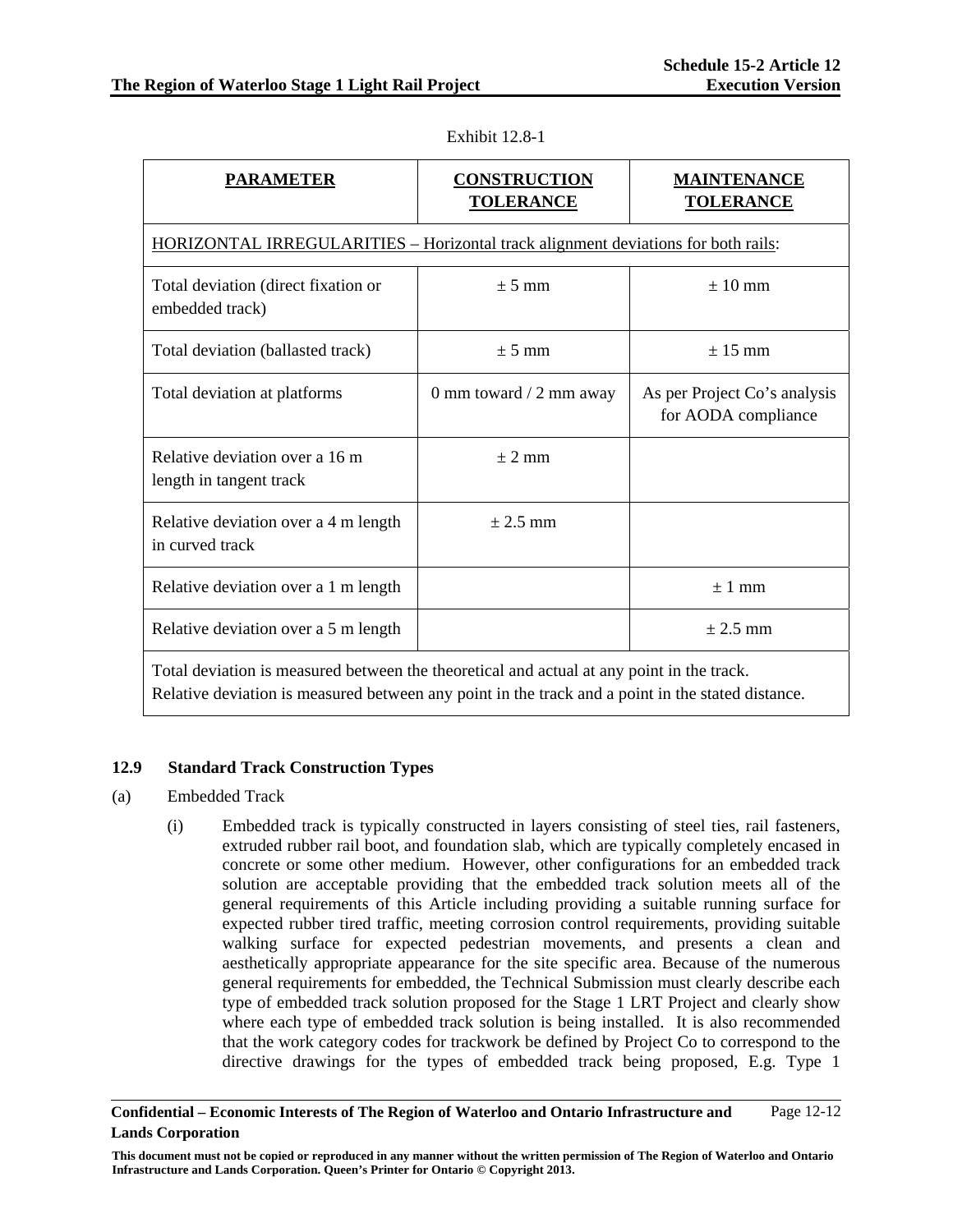| <b>PARAMETER</b>                                                                          | <b>CONSTRUCTION</b><br><b>TOLERANCE</b> | <b>MAINTENANCE</b><br><b>TOLERANCE</b>              |  |
|-------------------------------------------------------------------------------------------|-----------------------------------------|-----------------------------------------------------|--|
| HORIZONTAL IRREGULARITIES – Horizontal track alignment deviations for both rails:         |                                         |                                                     |  |
| Total deviation (direct fixation or<br>embedded track)                                    | $\pm$ 5 mm                              | $\pm 10$ mm                                         |  |
| Total deviation (ballasted track)                                                         | $\pm$ 5 mm                              | $\pm$ 15 mm                                         |  |
| Total deviation at platforms                                                              | 0 mm toward $/$ 2 mm away               | As per Project Co's analysis<br>for AODA compliance |  |
| Relative deviation over a 16 m<br>length in tangent track                                 | $\pm$ 2 mm                              |                                                     |  |
| Relative deviation over a 4 m length<br>in curved track                                   | $\pm$ 2.5 mm                            |                                                     |  |
| Relative deviation over a 1 m length                                                      |                                         | ± 1 mm                                              |  |
| Relative deviation over a 5 m length                                                      |                                         | $\pm$ 2.5 mm                                        |  |
| Total deviation is measured between the theoretical and actual at any point in the track. |                                         |                                                     |  |

Exhibit 12.8-1

Total deviation is measured between the theoretical and actual at any point in the track. Relative deviation is measured between any point in the track and a point in the stated distance.

### **12.9 Standard Track Construction Types**

- (a) Embedded Track
	- (i) Embedded track is typically constructed in layers consisting of steel ties, rail fasteners, extruded rubber rail boot, and foundation slab, which are typically completely encased in concrete or some other medium. However, other configurations for an embedded track solution are acceptable providing that the embedded track solution meets all of the general requirements of this Article including providing a suitable running surface for expected rubber tired traffic, meeting corrosion control requirements, providing suitable walking surface for expected pedestrian movements, and presents a clean and aesthetically appropriate appearance for the site specific area. Because of the numerous general requirements for embedded, the Technical Submission must clearly describe each type of embedded track solution proposed for the Stage 1 LRT Project and clearly show where each type of embedded track solution is being installed. It is also recommended that the work category codes for trackwork be defined by Project Co to correspond to the directive drawings for the types of embedded track being proposed, E.g. Type 1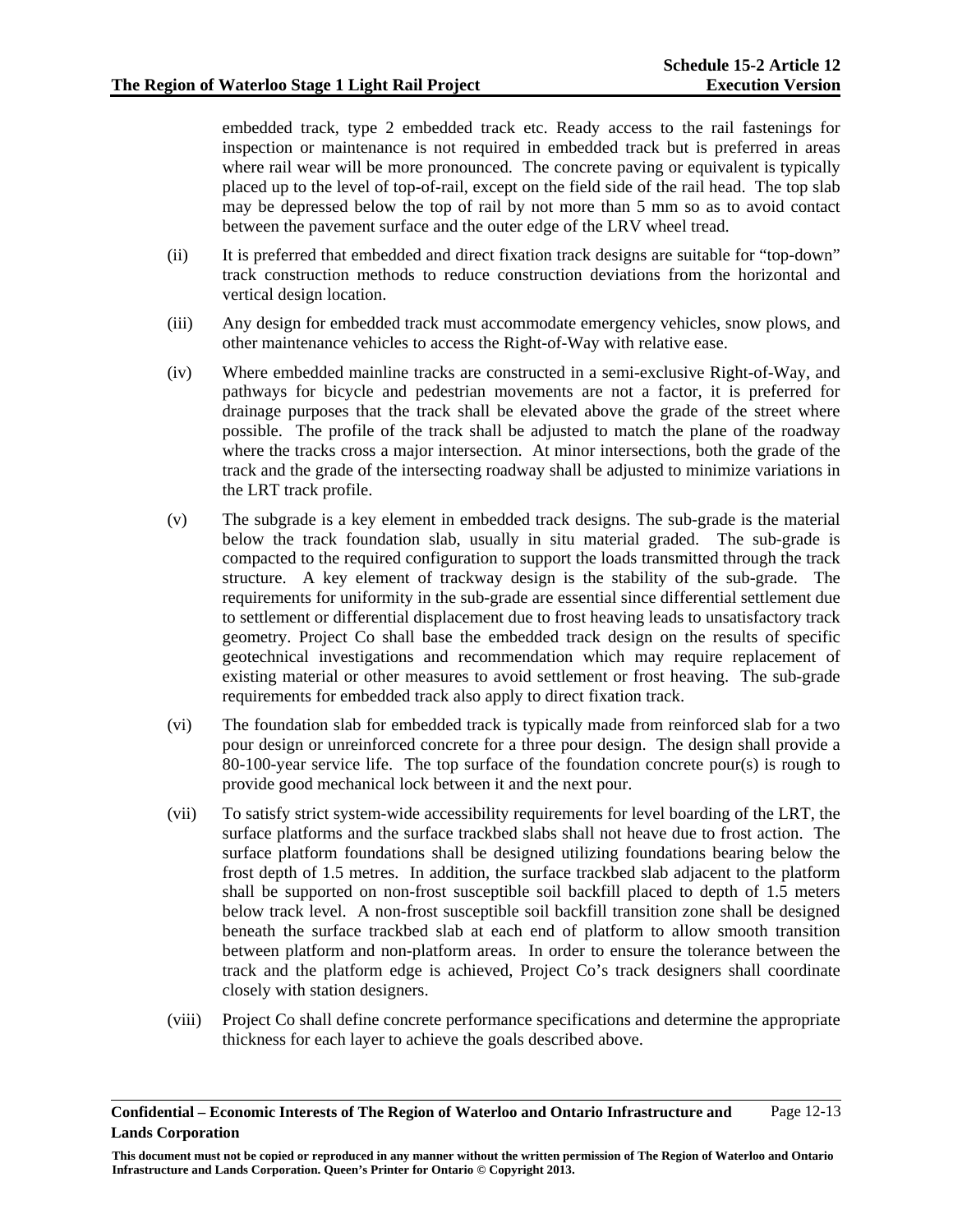embedded track, type 2 embedded track etc. Ready access to the rail fastenings for inspection or maintenance is not required in embedded track but is preferred in areas where rail wear will be more pronounced. The concrete paving or equivalent is typically placed up to the level of top-of-rail, except on the field side of the rail head. The top slab may be depressed below the top of rail by not more than 5 mm so as to avoid contact between the pavement surface and the outer edge of the LRV wheel tread.

- (ii) It is preferred that embedded and direct fixation track designs are suitable for "top-down" track construction methods to reduce construction deviations from the horizontal and vertical design location.
- (iii) Any design for embedded track must accommodate emergency vehicles, snow plows, and other maintenance vehicles to access the Right-of-Way with relative ease.
- (iv) Where embedded mainline tracks are constructed in a semi-exclusive Right-of-Way, and pathways for bicycle and pedestrian movements are not a factor, it is preferred for drainage purposes that the track shall be elevated above the grade of the street where possible. The profile of the track shall be adjusted to match the plane of the roadway where the tracks cross a major intersection. At minor intersections, both the grade of the track and the grade of the intersecting roadway shall be adjusted to minimize variations in the LRT track profile.
- (v) The subgrade is a key element in embedded track designs. The sub-grade is the material below the track foundation slab, usually in situ material graded. The sub-grade is compacted to the required configuration to support the loads transmitted through the track structure. A key element of trackway design is the stability of the sub-grade. The requirements for uniformity in the sub-grade are essential since differential settlement due to settlement or differential displacement due to frost heaving leads to unsatisfactory track geometry. Project Co shall base the embedded track design on the results of specific geotechnical investigations and recommendation which may require replacement of existing material or other measures to avoid settlement or frost heaving. The sub-grade requirements for embedded track also apply to direct fixation track.
- (vi) The foundation slab for embedded track is typically made from reinforced slab for a two pour design or unreinforced concrete for a three pour design. The design shall provide a 80-100-year service life. The top surface of the foundation concrete pour(s) is rough to provide good mechanical lock between it and the next pour.
- (vii) To satisfy strict system-wide accessibility requirements for level boarding of the LRT, the surface platforms and the surface trackbed slabs shall not heave due to frost action. The surface platform foundations shall be designed utilizing foundations bearing below the frost depth of 1.5 metres. In addition, the surface trackbed slab adjacent to the platform shall be supported on non-frost susceptible soil backfill placed to depth of 1.5 meters below track level. A non-frost susceptible soil backfill transition zone shall be designed beneath the surface trackbed slab at each end of platform to allow smooth transition between platform and non-platform areas. In order to ensure the tolerance between the track and the platform edge is achieved, Project Co's track designers shall coordinate closely with station designers.
- (viii) Project Co shall define concrete performance specifications and determine the appropriate thickness for each layer to achieve the goals described above.

**Confidential – Economic Interests of The Region of Waterloo and Ontario Infrastructure and Lands Corporation**  Page 12-13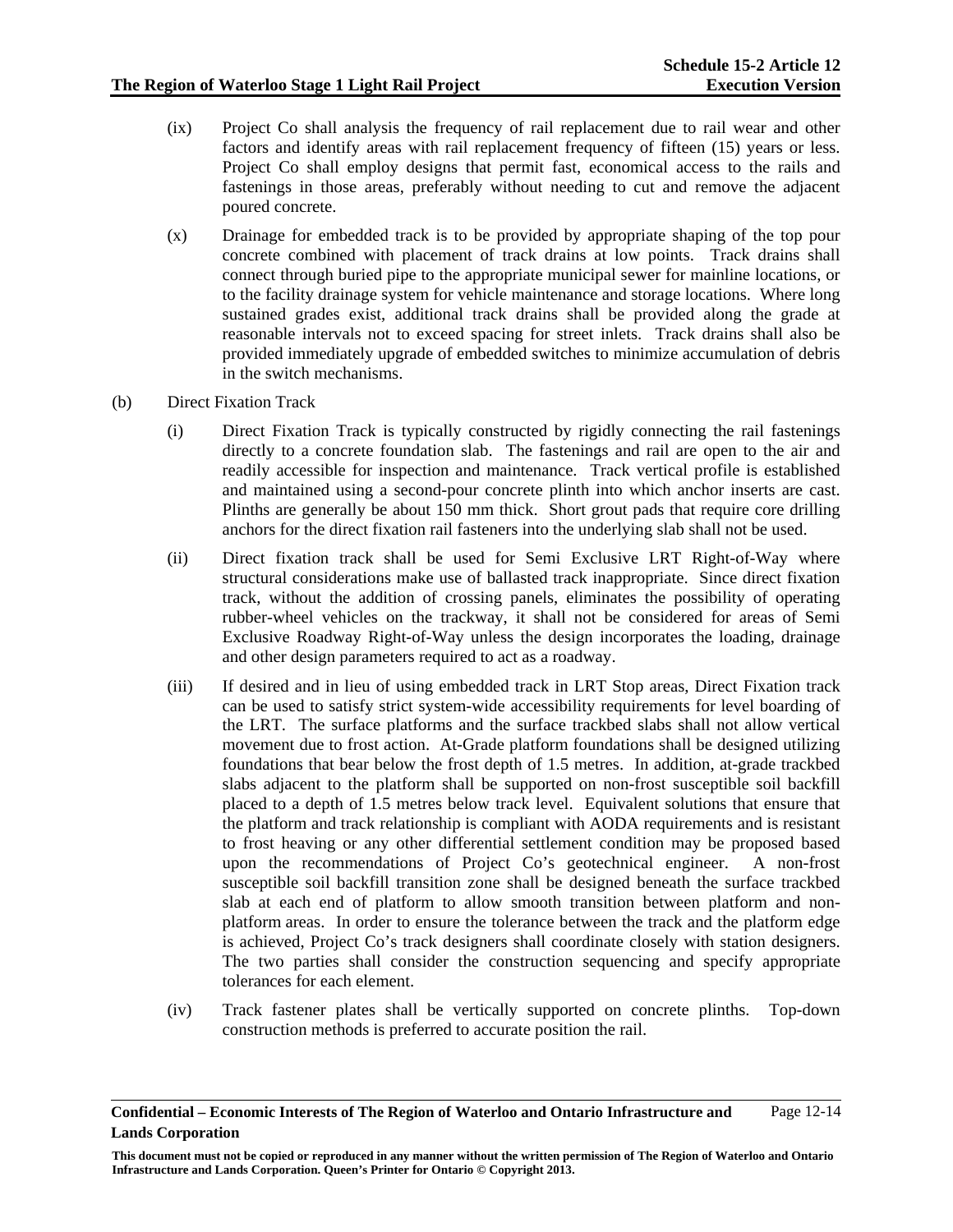- (ix) Project Co shall analysis the frequency of rail replacement due to rail wear and other factors and identify areas with rail replacement frequency of fifteen (15) years or less. Project Co shall employ designs that permit fast, economical access to the rails and fastenings in those areas, preferably without needing to cut and remove the adjacent poured concrete.
- (x) Drainage for embedded track is to be provided by appropriate shaping of the top pour concrete combined with placement of track drains at low points. Track drains shall connect through buried pipe to the appropriate municipal sewer for mainline locations, or to the facility drainage system for vehicle maintenance and storage locations. Where long sustained grades exist, additional track drains shall be provided along the grade at reasonable intervals not to exceed spacing for street inlets. Track drains shall also be provided immediately upgrade of embedded switches to minimize accumulation of debris in the switch mechanisms.
- (b) Direct Fixation Track
	- (i) Direct Fixation Track is typically constructed by rigidly connecting the rail fastenings directly to a concrete foundation slab. The fastenings and rail are open to the air and readily accessible for inspection and maintenance. Track vertical profile is established and maintained using a second-pour concrete plinth into which anchor inserts are cast. Plinths are generally be about 150 mm thick. Short grout pads that require core drilling anchors for the direct fixation rail fasteners into the underlying slab shall not be used.
	- (ii) Direct fixation track shall be used for Semi Exclusive LRT Right-of-Way where structural considerations make use of ballasted track inappropriate. Since direct fixation track, without the addition of crossing panels, eliminates the possibility of operating rubber-wheel vehicles on the trackway, it shall not be considered for areas of Semi Exclusive Roadway Right-of-Way unless the design incorporates the loading, drainage and other design parameters required to act as a roadway.
	- (iii) If desired and in lieu of using embedded track in LRT Stop areas, Direct Fixation track can be used to satisfy strict system-wide accessibility requirements for level boarding of the LRT. The surface platforms and the surface trackbed slabs shall not allow vertical movement due to frost action. At-Grade platform foundations shall be designed utilizing foundations that bear below the frost depth of 1.5 metres. In addition, at-grade trackbed slabs adjacent to the platform shall be supported on non-frost susceptible soil backfill placed to a depth of 1.5 metres below track level. Equivalent solutions that ensure that the platform and track relationship is compliant with AODA requirements and is resistant to frost heaving or any other differential settlement condition may be proposed based upon the recommendations of Project Co's geotechnical engineer. A non-frost susceptible soil backfill transition zone shall be designed beneath the surface trackbed slab at each end of platform to allow smooth transition between platform and nonplatform areas. In order to ensure the tolerance between the track and the platform edge is achieved, Project Co's track designers shall coordinate closely with station designers. The two parties shall consider the construction sequencing and specify appropriate tolerances for each element.
	- (iv) Track fastener plates shall be vertically supported on concrete plinths. Top-down construction methods is preferred to accurate position the rail.

**Confidential – Economic Interests of The Region of Waterloo and Ontario Infrastructure and Lands Corporation**  Page 12-14

**This document must not be copied or reproduced in any manner without the written permission of The Region of Waterloo and Ontario Infrastructure and Lands Corporation. Queen's Printer for Ontario © Copyright 2013.**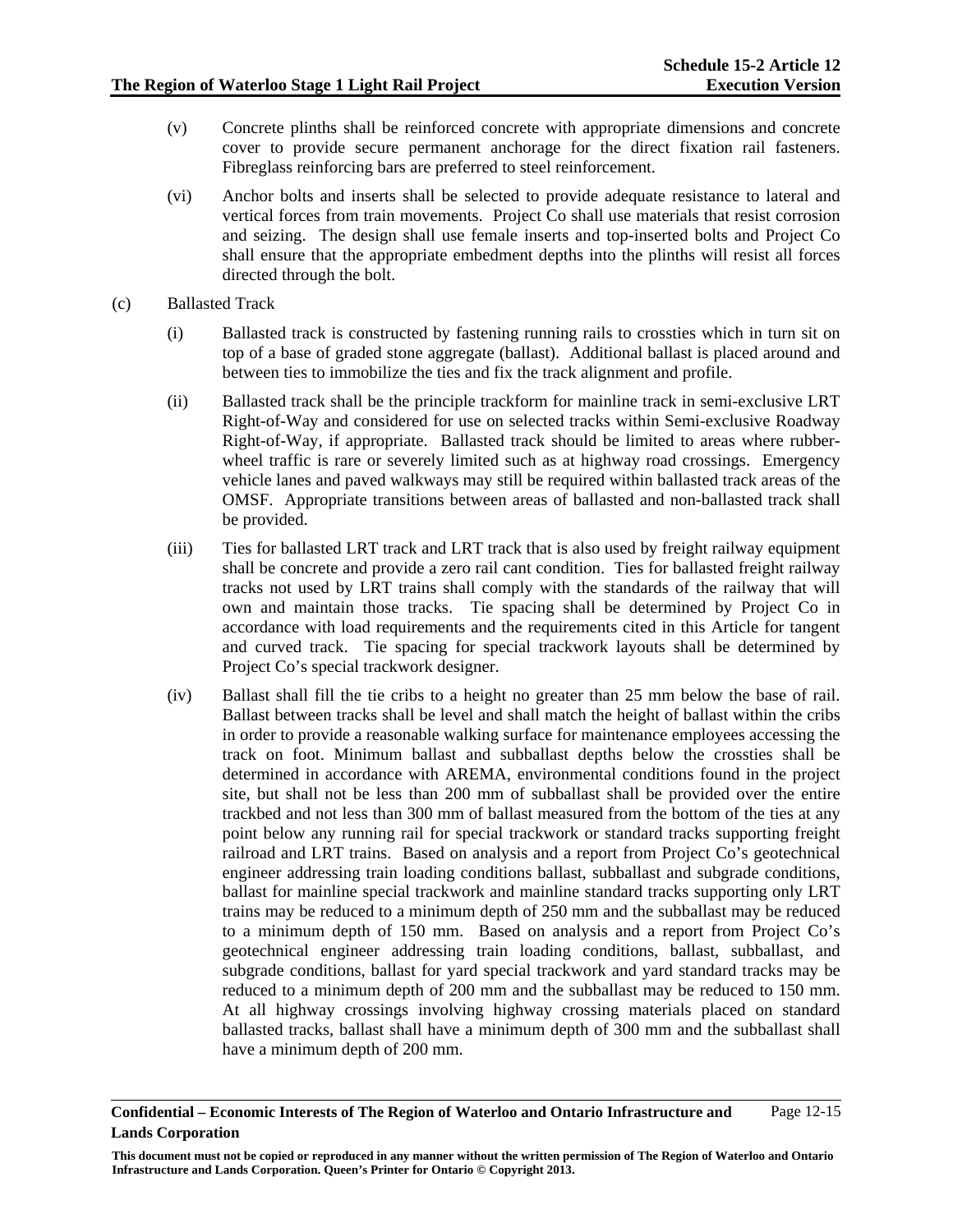- (v) Concrete plinths shall be reinforced concrete with appropriate dimensions and concrete cover to provide secure permanent anchorage for the direct fixation rail fasteners. Fibreglass reinforcing bars are preferred to steel reinforcement.
- (vi) Anchor bolts and inserts shall be selected to provide adequate resistance to lateral and vertical forces from train movements. Project Co shall use materials that resist corrosion and seizing. The design shall use female inserts and top-inserted bolts and Project Co shall ensure that the appropriate embedment depths into the plinths will resist all forces directed through the bolt.
- (c) Ballasted Track
	- (i) Ballasted track is constructed by fastening running rails to crossties which in turn sit on top of a base of graded stone aggregate (ballast). Additional ballast is placed around and between ties to immobilize the ties and fix the track alignment and profile.
	- (ii) Ballasted track shall be the principle trackform for mainline track in semi-exclusive LRT Right-of-Way and considered for use on selected tracks within Semi-exclusive Roadway Right-of-Way, if appropriate. Ballasted track should be limited to areas where rubberwheel traffic is rare or severely limited such as at highway road crossings. Emergency vehicle lanes and paved walkways may still be required within ballasted track areas of the OMSF. Appropriate transitions between areas of ballasted and non-ballasted track shall be provided.
	- (iii) Ties for ballasted LRT track and LRT track that is also used by freight railway equipment shall be concrete and provide a zero rail cant condition. Ties for ballasted freight railway tracks not used by LRT trains shall comply with the standards of the railway that will own and maintain those tracks. Tie spacing shall be determined by Project Co in accordance with load requirements and the requirements cited in this Article for tangent and curved track. Tie spacing for special trackwork layouts shall be determined by Project Co's special trackwork designer.
	- (iv) Ballast shall fill the tie cribs to a height no greater than 25 mm below the base of rail. Ballast between tracks shall be level and shall match the height of ballast within the cribs in order to provide a reasonable walking surface for maintenance employees accessing the track on foot. Minimum ballast and subballast depths below the crossties shall be determined in accordance with AREMA, environmental conditions found in the project site, but shall not be less than 200 mm of subballast shall be provided over the entire trackbed and not less than 300 mm of ballast measured from the bottom of the ties at any point below any running rail for special trackwork or standard tracks supporting freight railroad and LRT trains. Based on analysis and a report from Project Co's geotechnical engineer addressing train loading conditions ballast, subballast and subgrade conditions, ballast for mainline special trackwork and mainline standard tracks supporting only LRT trains may be reduced to a minimum depth of 250 mm and the subballast may be reduced to a minimum depth of 150 mm. Based on analysis and a report from Project Co's geotechnical engineer addressing train loading conditions, ballast, subballast, and subgrade conditions, ballast for yard special trackwork and yard standard tracks may be reduced to a minimum depth of 200 mm and the subballast may be reduced to 150 mm. At all highway crossings involving highway crossing materials placed on standard ballasted tracks, ballast shall have a minimum depth of 300 mm and the subballast shall have a minimum depth of 200 mm.

**Confidential – Economic Interests of The Region of Waterloo and Ontario Infrastructure and Lands Corporation**  Page 12-15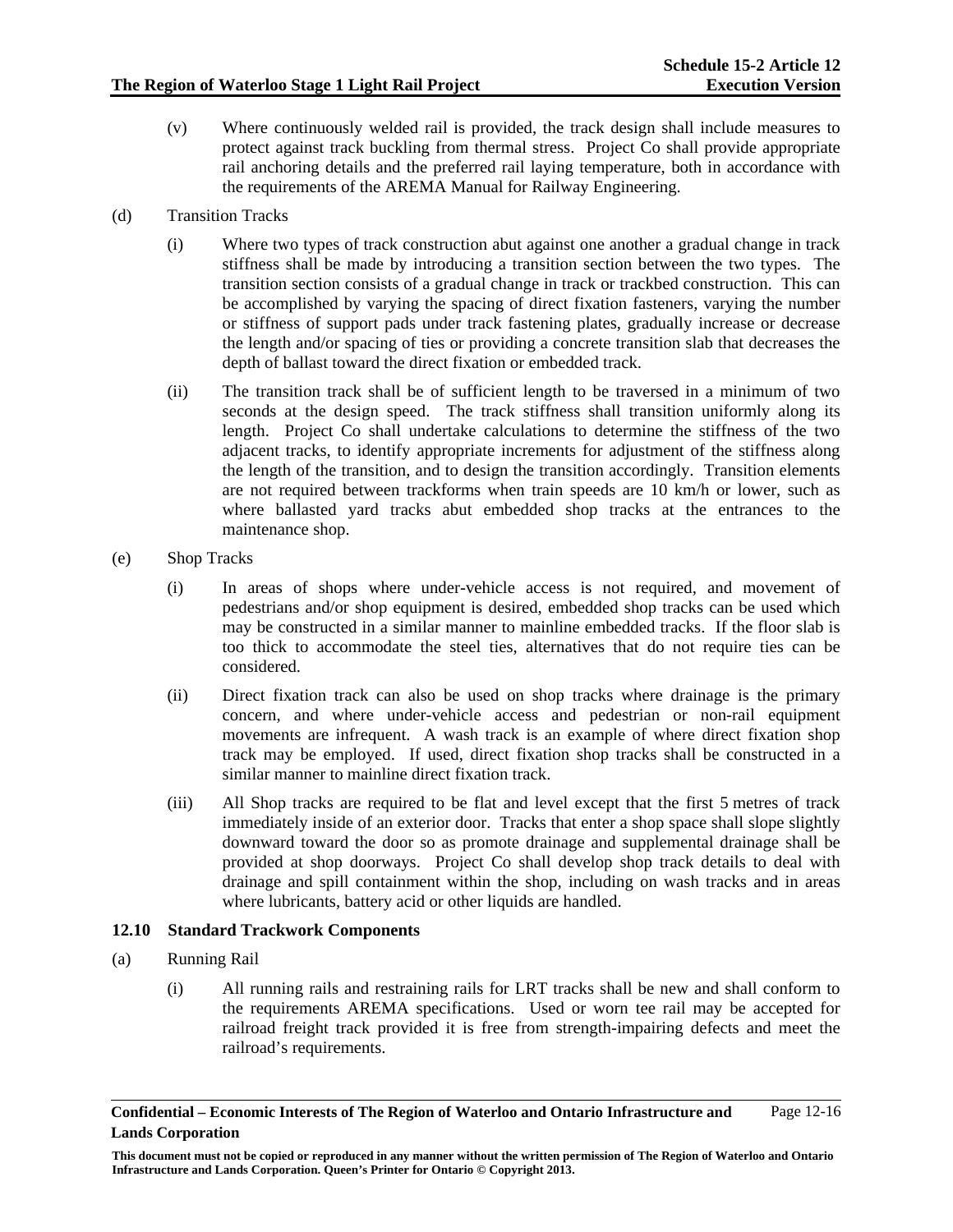- (v) Where continuously welded rail is provided, the track design shall include measures to protect against track buckling from thermal stress. Project Co shall provide appropriate rail anchoring details and the preferred rail laying temperature, both in accordance with the requirements of the AREMA Manual for Railway Engineering.
- (d) Transition Tracks
	- (i) Where two types of track construction abut against one another a gradual change in track stiffness shall be made by introducing a transition section between the two types. The transition section consists of a gradual change in track or trackbed construction. This can be accomplished by varying the spacing of direct fixation fasteners, varying the number or stiffness of support pads under track fastening plates, gradually increase or decrease the length and/or spacing of ties or providing a concrete transition slab that decreases the depth of ballast toward the direct fixation or embedded track.
	- (ii) The transition track shall be of sufficient length to be traversed in a minimum of two seconds at the design speed. The track stiffness shall transition uniformly along its length. Project Co shall undertake calculations to determine the stiffness of the two adjacent tracks, to identify appropriate increments for adjustment of the stiffness along the length of the transition, and to design the transition accordingly. Transition elements are not required between trackforms when train speeds are 10 km/h or lower, such as where ballasted yard tracks abut embedded shop tracks at the entrances to the maintenance shop.
- (e) Shop Tracks
	- (i) In areas of shops where under-vehicle access is not required, and movement of pedestrians and/or shop equipment is desired, embedded shop tracks can be used which may be constructed in a similar manner to mainline embedded tracks. If the floor slab is too thick to accommodate the steel ties, alternatives that do not require ties can be considered.
	- (ii) Direct fixation track can also be used on shop tracks where drainage is the primary concern, and where under-vehicle access and pedestrian or non-rail equipment movements are infrequent. A wash track is an example of where direct fixation shop track may be employed. If used, direct fixation shop tracks shall be constructed in a similar manner to mainline direct fixation track.
	- (iii) All Shop tracks are required to be flat and level except that the first 5 metres of track immediately inside of an exterior door. Tracks that enter a shop space shall slope slightly downward toward the door so as promote drainage and supplemental drainage shall be provided at shop doorways. Project Co shall develop shop track details to deal with drainage and spill containment within the shop, including on wash tracks and in areas where lubricants, battery acid or other liquids are handled.

### **12.10 Standard Trackwork Components**

- (a) Running Rail
	- (i) All running rails and restraining rails for LRT tracks shall be new and shall conform to the requirements AREMA specifications. Used or worn tee rail may be accepted for railroad freight track provided it is free from strength-impairing defects and meet the railroad's requirements.

**Confidential – Economic Interests of The Region of Waterloo and Ontario Infrastructure and Lands Corporation**  Page 12-16

**This document must not be copied or reproduced in any manner without the written permission of The Region of Waterloo and Ontario Infrastructure and Lands Corporation. Queen's Printer for Ontario © Copyright 2013.**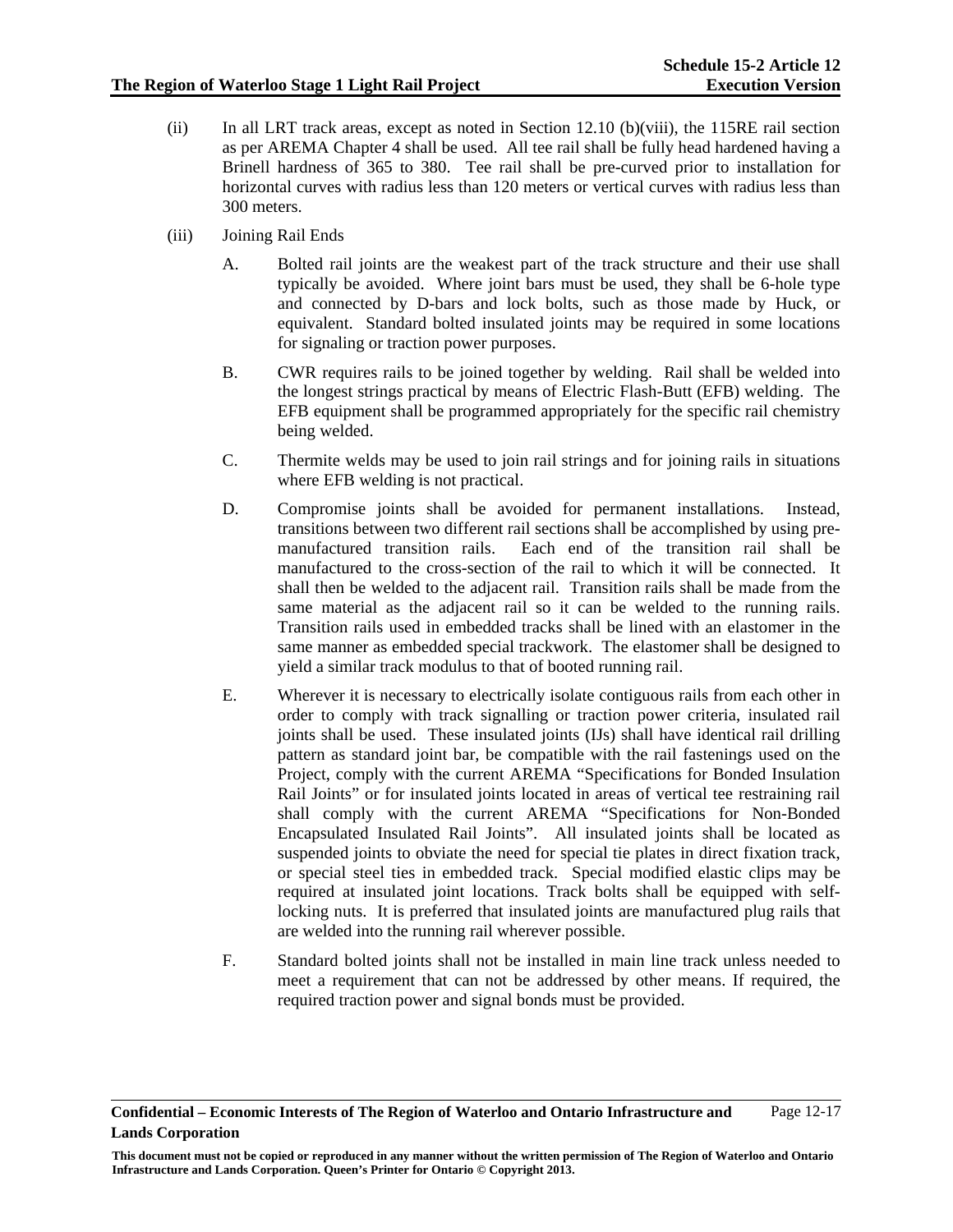- (ii) In all LRT track areas, except as noted in Section 12.10 (b)(viii), the 115RE rail section as per AREMA Chapter 4 shall be used. All tee rail shall be fully head hardened having a Brinell hardness of 365 to 380. Tee rail shall be pre-curved prior to installation for horizontal curves with radius less than 120 meters or vertical curves with radius less than 300 meters.
- (iii) Joining Rail Ends
	- A. Bolted rail joints are the weakest part of the track structure and their use shall typically be avoided. Where joint bars must be used, they shall be 6-hole type and connected by D-bars and lock bolts, such as those made by Huck, or equivalent. Standard bolted insulated joints may be required in some locations for signaling or traction power purposes.
	- B. CWR requires rails to be joined together by welding. Rail shall be welded into the longest strings practical by means of Electric Flash-Butt (EFB) welding. The EFB equipment shall be programmed appropriately for the specific rail chemistry being welded.
	- C. Thermite welds may be used to join rail strings and for joining rails in situations where EFB welding is not practical.
	- D. Compromise joints shall be avoided for permanent installations. Instead, transitions between two different rail sections shall be accomplished by using premanufactured transition rails. Each end of the transition rail shall be manufactured to the cross-section of the rail to which it will be connected. It shall then be welded to the adjacent rail. Transition rails shall be made from the same material as the adjacent rail so it can be welded to the running rails. Transition rails used in embedded tracks shall be lined with an elastomer in the same manner as embedded special trackwork. The elastomer shall be designed to yield a similar track modulus to that of booted running rail.
	- E. Wherever it is necessary to electrically isolate contiguous rails from each other in order to comply with track signalling or traction power criteria, insulated rail joints shall be used. These insulated joints (IJs) shall have identical rail drilling pattern as standard joint bar, be compatible with the rail fastenings used on the Project, comply with the current AREMA "Specifications for Bonded Insulation Rail Joints" or for insulated joints located in areas of vertical tee restraining rail shall comply with the current AREMA "Specifications for Non-Bonded Encapsulated Insulated Rail Joints". All insulated joints shall be located as suspended joints to obviate the need for special tie plates in direct fixation track, or special steel ties in embedded track. Special modified elastic clips may be required at insulated joint locations. Track bolts shall be equipped with selflocking nuts. It is preferred that insulated joints are manufactured plug rails that are welded into the running rail wherever possible.
	- F. Standard bolted joints shall not be installed in main line track unless needed to meet a requirement that can not be addressed by other means. If required, the required traction power and signal bonds must be provided.

**Confidential – Economic Interests of The Region of Waterloo and Ontario Infrastructure and Lands Corporation**  Page 12-17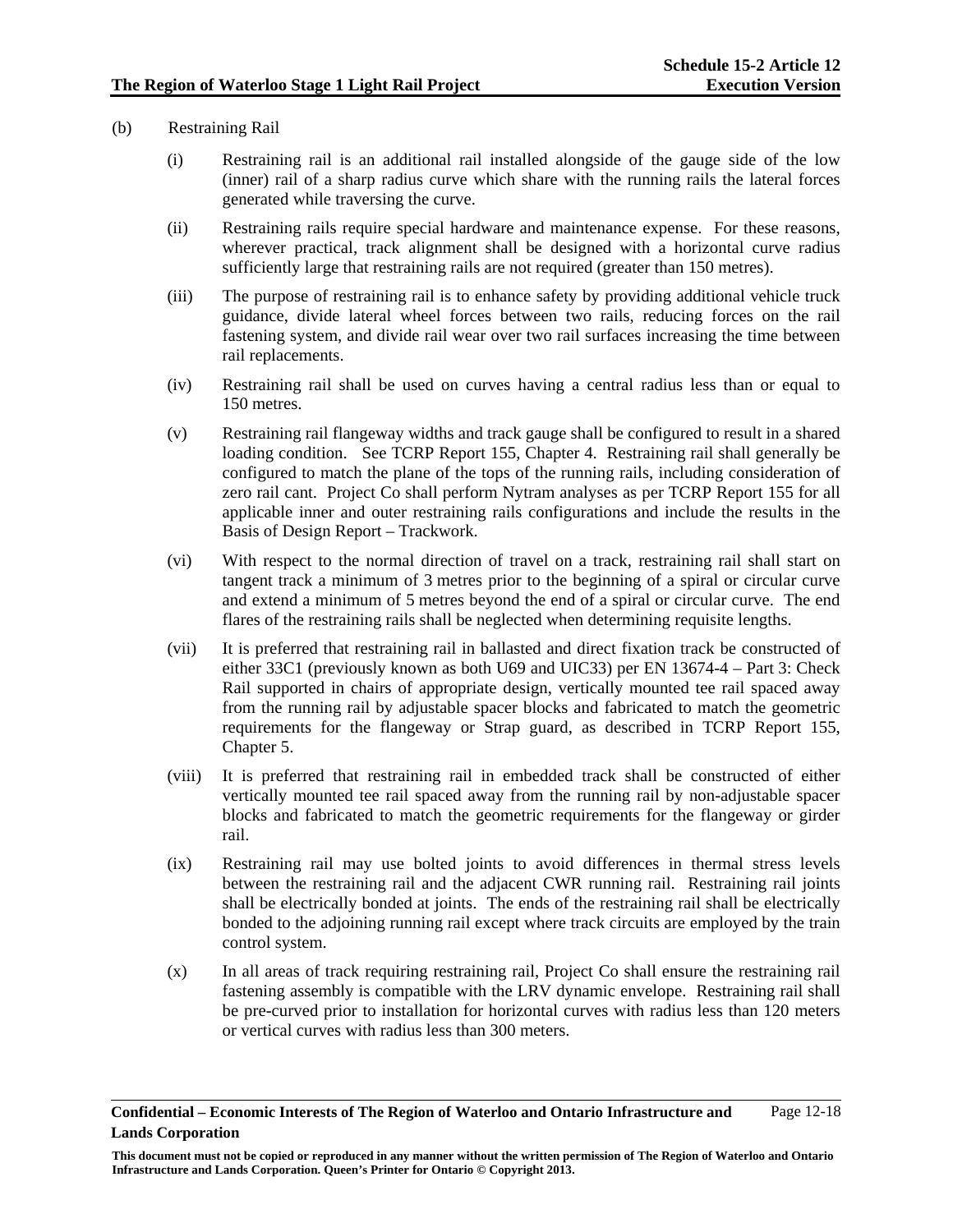- (b) Restraining Rail
	- (i) Restraining rail is an additional rail installed alongside of the gauge side of the low (inner) rail of a sharp radius curve which share with the running rails the lateral forces generated while traversing the curve.
	- (ii) Restraining rails require special hardware and maintenance expense. For these reasons, wherever practical, track alignment shall be designed with a horizontal curve radius sufficiently large that restraining rails are not required (greater than 150 metres).
	- (iii) The purpose of restraining rail is to enhance safety by providing additional vehicle truck guidance, divide lateral wheel forces between two rails, reducing forces on the rail fastening system, and divide rail wear over two rail surfaces increasing the time between rail replacements.
	- (iv) Restraining rail shall be used on curves having a central radius less than or equal to 150 metres.
	- (v) Restraining rail flangeway widths and track gauge shall be configured to result in a shared loading condition. See TCRP Report 155, Chapter 4. Restraining rail shall generally be configured to match the plane of the tops of the running rails, including consideration of zero rail cant. Project Co shall perform Nytram analyses as per TCRP Report 155 for all applicable inner and outer restraining rails configurations and include the results in the Basis of Design Report – Trackwork.
	- (vi) With respect to the normal direction of travel on a track, restraining rail shall start on tangent track a minimum of 3 metres prior to the beginning of a spiral or circular curve and extend a minimum of 5 metres beyond the end of a spiral or circular curve. The end flares of the restraining rails shall be neglected when determining requisite lengths.
	- (vii) It is preferred that restraining rail in ballasted and direct fixation track be constructed of either 33C1 (previously known as both U69 and UIC33) per EN 13674-4 – Part 3: Check Rail supported in chairs of appropriate design, vertically mounted tee rail spaced away from the running rail by adjustable spacer blocks and fabricated to match the geometric requirements for the flangeway or Strap guard, as described in TCRP Report 155, Chapter 5.
	- (viii) It is preferred that restraining rail in embedded track shall be constructed of either vertically mounted tee rail spaced away from the running rail by non-adjustable spacer blocks and fabricated to match the geometric requirements for the flangeway or girder rail.
	- (ix) Restraining rail may use bolted joints to avoid differences in thermal stress levels between the restraining rail and the adjacent CWR running rail. Restraining rail joints shall be electrically bonded at joints. The ends of the restraining rail shall be electrically bonded to the adjoining running rail except where track circuits are employed by the train control system.
	- (x) In all areas of track requiring restraining rail, Project Co shall ensure the restraining rail fastening assembly is compatible with the LRV dynamic envelope. Restraining rail shall be pre-curved prior to installation for horizontal curves with radius less than 120 meters or vertical curves with radius less than 300 meters.

**Confidential – Economic Interests of The Region of Waterloo and Ontario Infrastructure and Lands Corporation**  Page 12-18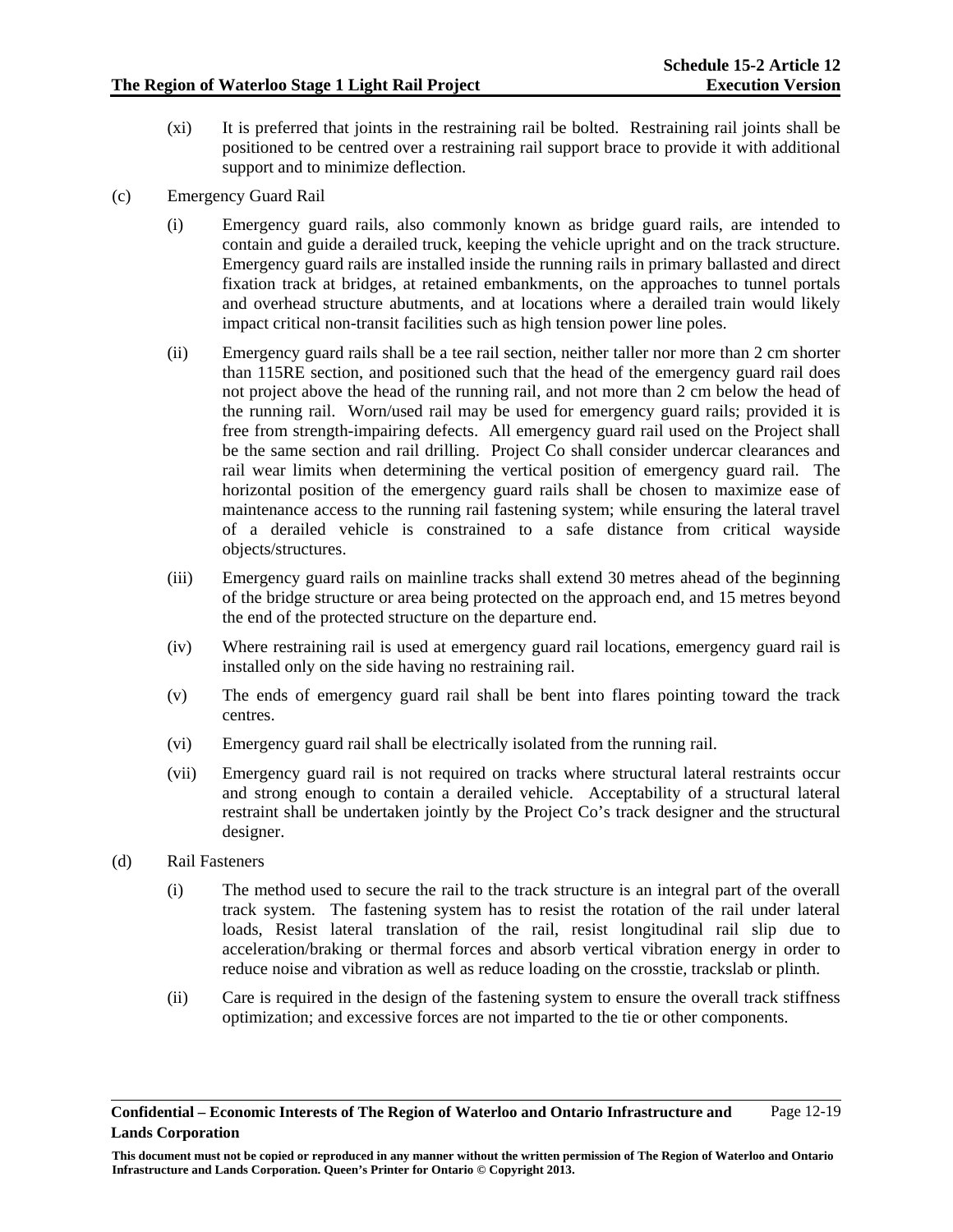- (xi) It is preferred that joints in the restraining rail be bolted. Restraining rail joints shall be positioned to be centred over a restraining rail support brace to provide it with additional support and to minimize deflection.
- (c) Emergency Guard Rail
	- (i) Emergency guard rails, also commonly known as bridge guard rails, are intended to contain and guide a derailed truck, keeping the vehicle upright and on the track structure. Emergency guard rails are installed inside the running rails in primary ballasted and direct fixation track at bridges, at retained embankments, on the approaches to tunnel portals and overhead structure abutments, and at locations where a derailed train would likely impact critical non-transit facilities such as high tension power line poles.
	- (ii) Emergency guard rails shall be a tee rail section, neither taller nor more than 2 cm shorter than 115RE section, and positioned such that the head of the emergency guard rail does not project above the head of the running rail, and not more than 2 cm below the head of the running rail. Worn/used rail may be used for emergency guard rails; provided it is free from strength-impairing defects. All emergency guard rail used on the Project shall be the same section and rail drilling. Project Co shall consider undercar clearances and rail wear limits when determining the vertical position of emergency guard rail. The horizontal position of the emergency guard rails shall be chosen to maximize ease of maintenance access to the running rail fastening system; while ensuring the lateral travel of a derailed vehicle is constrained to a safe distance from critical wayside objects/structures.
	- (iii) Emergency guard rails on mainline tracks shall extend 30 metres ahead of the beginning of the bridge structure or area being protected on the approach end, and 15 metres beyond the end of the protected structure on the departure end.
	- (iv) Where restraining rail is used at emergency guard rail locations, emergency guard rail is installed only on the side having no restraining rail.
	- (v) The ends of emergency guard rail shall be bent into flares pointing toward the track centres.
	- (vi) Emergency guard rail shall be electrically isolated from the running rail.
	- (vii) Emergency guard rail is not required on tracks where structural lateral restraints occur and strong enough to contain a derailed vehicle. Acceptability of a structural lateral restraint shall be undertaken jointly by the Project Co's track designer and the structural designer.
- (d) Rail Fasteners
	- (i) The method used to secure the rail to the track structure is an integral part of the overall track system. The fastening system has to resist the rotation of the rail under lateral loads, Resist lateral translation of the rail, resist longitudinal rail slip due to acceleration/braking or thermal forces and absorb vertical vibration energy in order to reduce noise and vibration as well as reduce loading on the crosstie, trackslab or plinth.
	- (ii) Care is required in the design of the fastening system to ensure the overall track stiffness optimization; and excessive forces are not imparted to the tie or other components.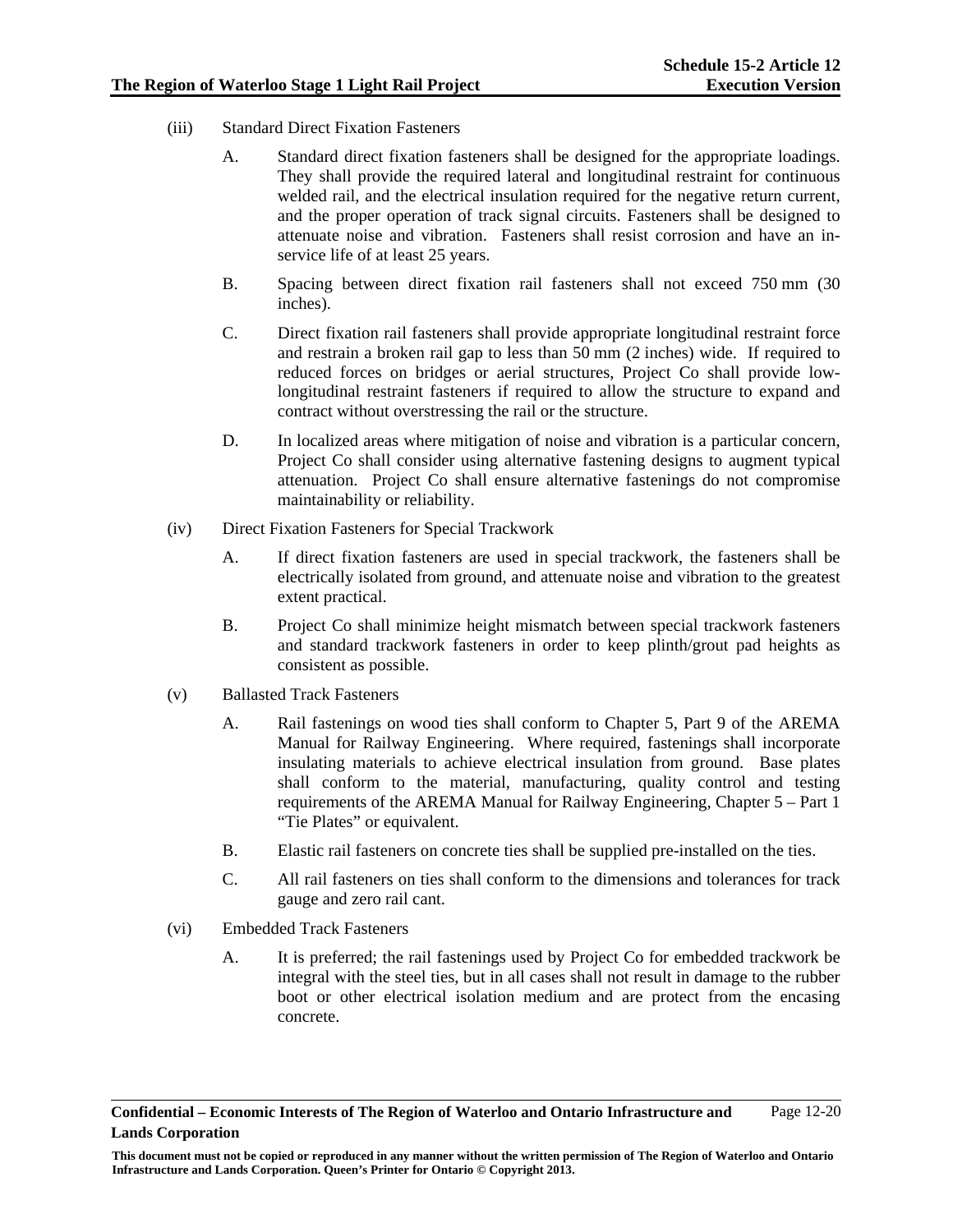- (iii) Standard Direct Fixation Fasteners
	- A. Standard direct fixation fasteners shall be designed for the appropriate loadings. They shall provide the required lateral and longitudinal restraint for continuous welded rail, and the electrical insulation required for the negative return current, and the proper operation of track signal circuits. Fasteners shall be designed to attenuate noise and vibration. Fasteners shall resist corrosion and have an inservice life of at least 25 years.
	- B. Spacing between direct fixation rail fasteners shall not exceed 750 mm (30 inches).
	- C. Direct fixation rail fasteners shall provide appropriate longitudinal restraint force and restrain a broken rail gap to less than 50 mm (2 inches) wide. If required to reduced forces on bridges or aerial structures, Project Co shall provide lowlongitudinal restraint fasteners if required to allow the structure to expand and contract without overstressing the rail or the structure.
	- D. In localized areas where mitigation of noise and vibration is a particular concern, Project Co shall consider using alternative fastening designs to augment typical attenuation. Project Co shall ensure alternative fastenings do not compromise maintainability or reliability.
- (iv) Direct Fixation Fasteners for Special Trackwork
	- A. If direct fixation fasteners are used in special trackwork, the fasteners shall be electrically isolated from ground, and attenuate noise and vibration to the greatest extent practical.
	- B. Project Co shall minimize height mismatch between special trackwork fasteners and standard trackwork fasteners in order to keep plinth/grout pad heights as consistent as possible.
- (v) Ballasted Track Fasteners
	- A. Rail fastenings on wood ties shall conform to Chapter 5, Part 9 of the AREMA Manual for Railway Engineering. Where required, fastenings shall incorporate insulating materials to achieve electrical insulation from ground. Base plates shall conform to the material, manufacturing, quality control and testing requirements of the AREMA Manual for Railway Engineering, Chapter 5 – Part 1 "Tie Plates" or equivalent.
	- B. Elastic rail fasteners on concrete ties shall be supplied pre-installed on the ties.
	- C. All rail fasteners on ties shall conform to the dimensions and tolerances for track gauge and zero rail cant.
- (vi) Embedded Track Fasteners
	- A. It is preferred; the rail fastenings used by Project Co for embedded trackwork be integral with the steel ties, but in all cases shall not result in damage to the rubber boot or other electrical isolation medium and are protect from the encasing concrete.

**This document must not be copied or reproduced in any manner without the written permission of The Region of Waterloo and Ontario Infrastructure and Lands Corporation. Queen's Printer for Ontario © Copyright 2013.**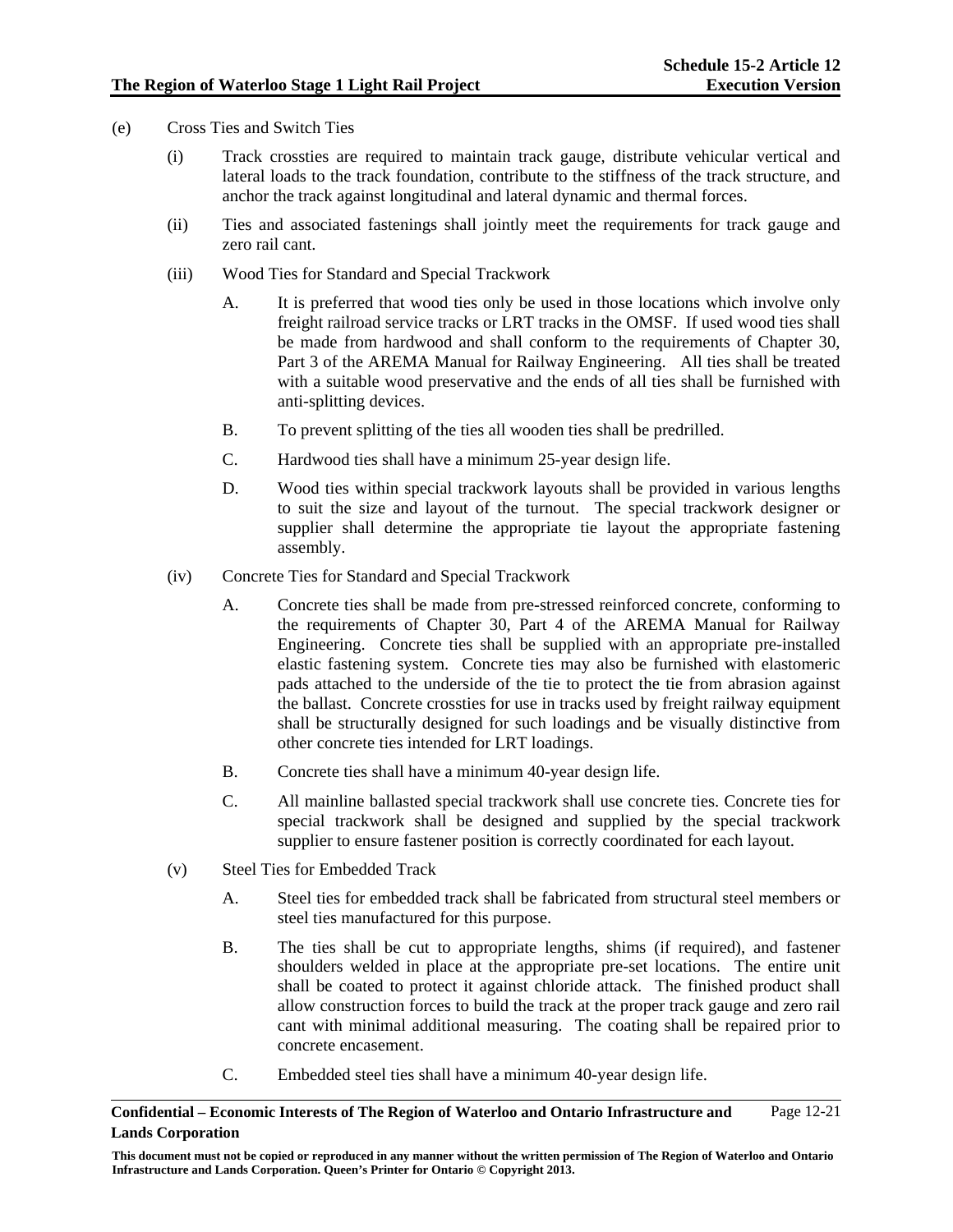- (e) Cross Ties and Switch Ties
	- (i) Track crossties are required to maintain track gauge, distribute vehicular vertical and lateral loads to the track foundation, contribute to the stiffness of the track structure, and anchor the track against longitudinal and lateral dynamic and thermal forces.
	- (ii) Ties and associated fastenings shall jointly meet the requirements for track gauge and zero rail cant.
	- (iii) Wood Ties for Standard and Special Trackwork
		- A. It is preferred that wood ties only be used in those locations which involve only freight railroad service tracks or LRT tracks in the OMSF. If used wood ties shall be made from hardwood and shall conform to the requirements of Chapter 30, Part 3 of the AREMA Manual for Railway Engineering. All ties shall be treated with a suitable wood preservative and the ends of all ties shall be furnished with anti-splitting devices.
		- B. To prevent splitting of the ties all wooden ties shall be predrilled.
		- C. Hardwood ties shall have a minimum 25-year design life.
		- D. Wood ties within special trackwork layouts shall be provided in various lengths to suit the size and layout of the turnout. The special trackwork designer or supplier shall determine the appropriate tie layout the appropriate fastening assembly.
	- (iv) Concrete Ties for Standard and Special Trackwork
		- A. Concrete ties shall be made from pre-stressed reinforced concrete, conforming to the requirements of Chapter 30, Part 4 of the AREMA Manual for Railway Engineering. Concrete ties shall be supplied with an appropriate pre-installed elastic fastening system. Concrete ties may also be furnished with elastomeric pads attached to the underside of the tie to protect the tie from abrasion against the ballast. Concrete crossties for use in tracks used by freight railway equipment shall be structurally designed for such loadings and be visually distinctive from other concrete ties intended for LRT loadings.
		- B. Concrete ties shall have a minimum 40-year design life.
		- C. All mainline ballasted special trackwork shall use concrete ties. Concrete ties for special trackwork shall be designed and supplied by the special trackwork supplier to ensure fastener position is correctly coordinated for each layout.
	- (v) Steel Ties for Embedded Track
		- A. Steel ties for embedded track shall be fabricated from structural steel members or steel ties manufactured for this purpose.
		- B. The ties shall be cut to appropriate lengths, shims (if required), and fastener shoulders welded in place at the appropriate pre-set locations. The entire unit shall be coated to protect it against chloride attack. The finished product shall allow construction forces to build the track at the proper track gauge and zero rail cant with minimal additional measuring. The coating shall be repaired prior to concrete encasement.
		- C. Embedded steel ties shall have a minimum 40-year design life.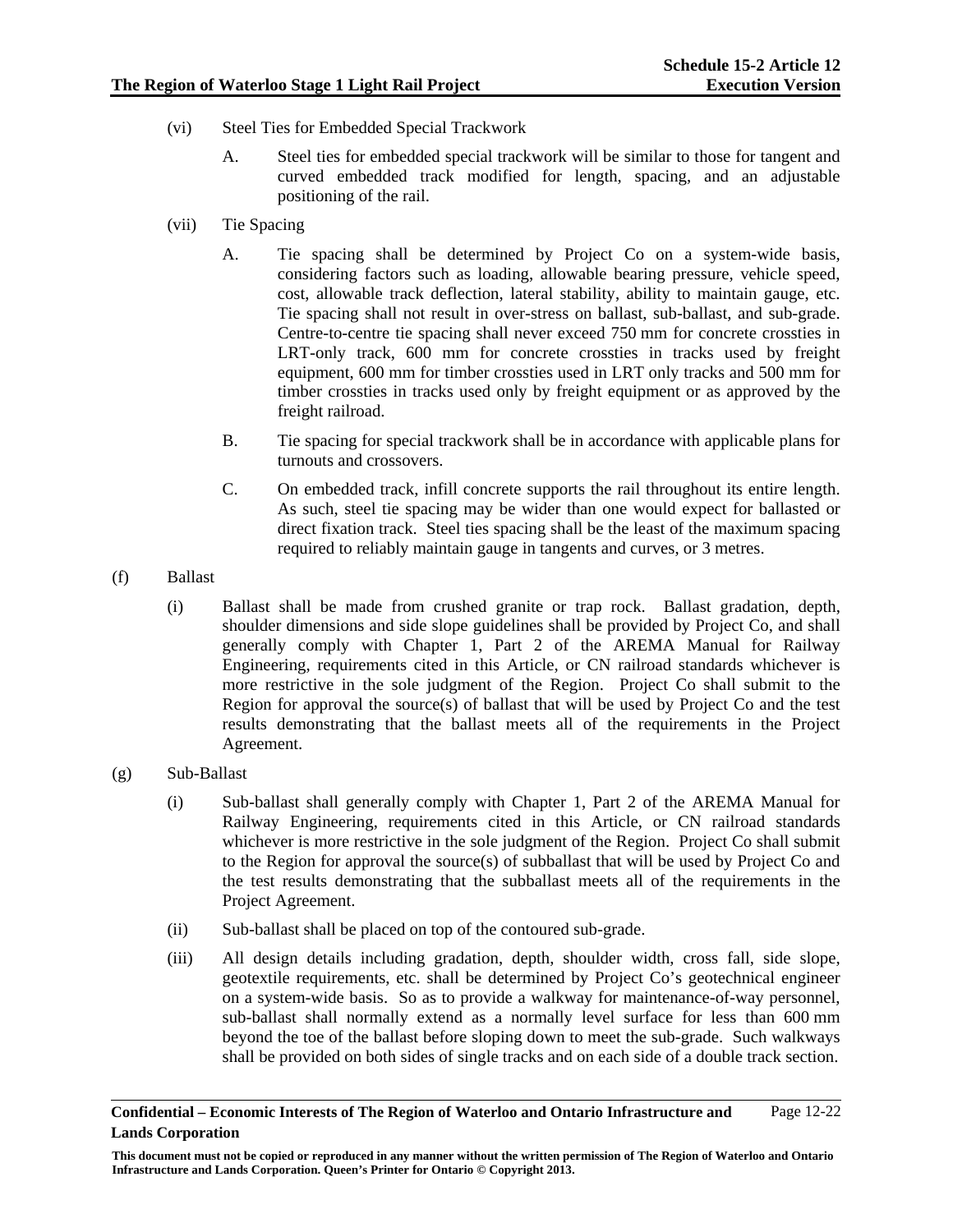- (vi) Steel Ties for Embedded Special Trackwork
	- A. Steel ties for embedded special trackwork will be similar to those for tangent and curved embedded track modified for length, spacing, and an adjustable positioning of the rail.
- (vii) Tie Spacing
	- A. Tie spacing shall be determined by Project Co on a system-wide basis, considering factors such as loading, allowable bearing pressure, vehicle speed, cost, allowable track deflection, lateral stability, ability to maintain gauge, etc. Tie spacing shall not result in over-stress on ballast, sub-ballast, and sub-grade. Centre-to-centre tie spacing shall never exceed 750 mm for concrete crossties in LRT-only track, 600 mm for concrete crossties in tracks used by freight equipment, 600 mm for timber crossties used in LRT only tracks and 500 mm for timber crossties in tracks used only by freight equipment or as approved by the freight railroad.
	- B. Tie spacing for special trackwork shall be in accordance with applicable plans for turnouts and crossovers.
	- C. On embedded track, infill concrete supports the rail throughout its entire length. As such, steel tie spacing may be wider than one would expect for ballasted or direct fixation track. Steel ties spacing shall be the least of the maximum spacing required to reliably maintain gauge in tangents and curves, or 3 metres.
- (f) Ballast
	- (i) Ballast shall be made from crushed granite or trap rock. Ballast gradation, depth, shoulder dimensions and side slope guidelines shall be provided by Project Co, and shall generally comply with Chapter 1, Part 2 of the AREMA Manual for Railway Engineering, requirements cited in this Article, or CN railroad standards whichever is more restrictive in the sole judgment of the Region. Project Co shall submit to the Region for approval the source(s) of ballast that will be used by Project Co and the test results demonstrating that the ballast meets all of the requirements in the Project Agreement.
- (g) Sub-Ballast
	- (i) Sub-ballast shall generally comply with Chapter 1, Part 2 of the AREMA Manual for Railway Engineering, requirements cited in this Article, or CN railroad standards whichever is more restrictive in the sole judgment of the Region. Project Co shall submit to the Region for approval the source(s) of subballast that will be used by Project Co and the test results demonstrating that the subballast meets all of the requirements in the Project Agreement.
	- (ii) Sub-ballast shall be placed on top of the contoured sub-grade.
	- (iii) All design details including gradation, depth, shoulder width, cross fall, side slope, geotextile requirements, etc. shall be determined by Project Co's geotechnical engineer on a system-wide basis. So as to provide a walkway for maintenance-of-way personnel, sub-ballast shall normally extend as a normally level surface for less than 600 mm beyond the toe of the ballast before sloping down to meet the sub-grade. Such walkways shall be provided on both sides of single tracks and on each side of a double track section.

**Confidential – Economic Interests of The Region of Waterloo and Ontario Infrastructure and Lands Corporation**  Page 12-22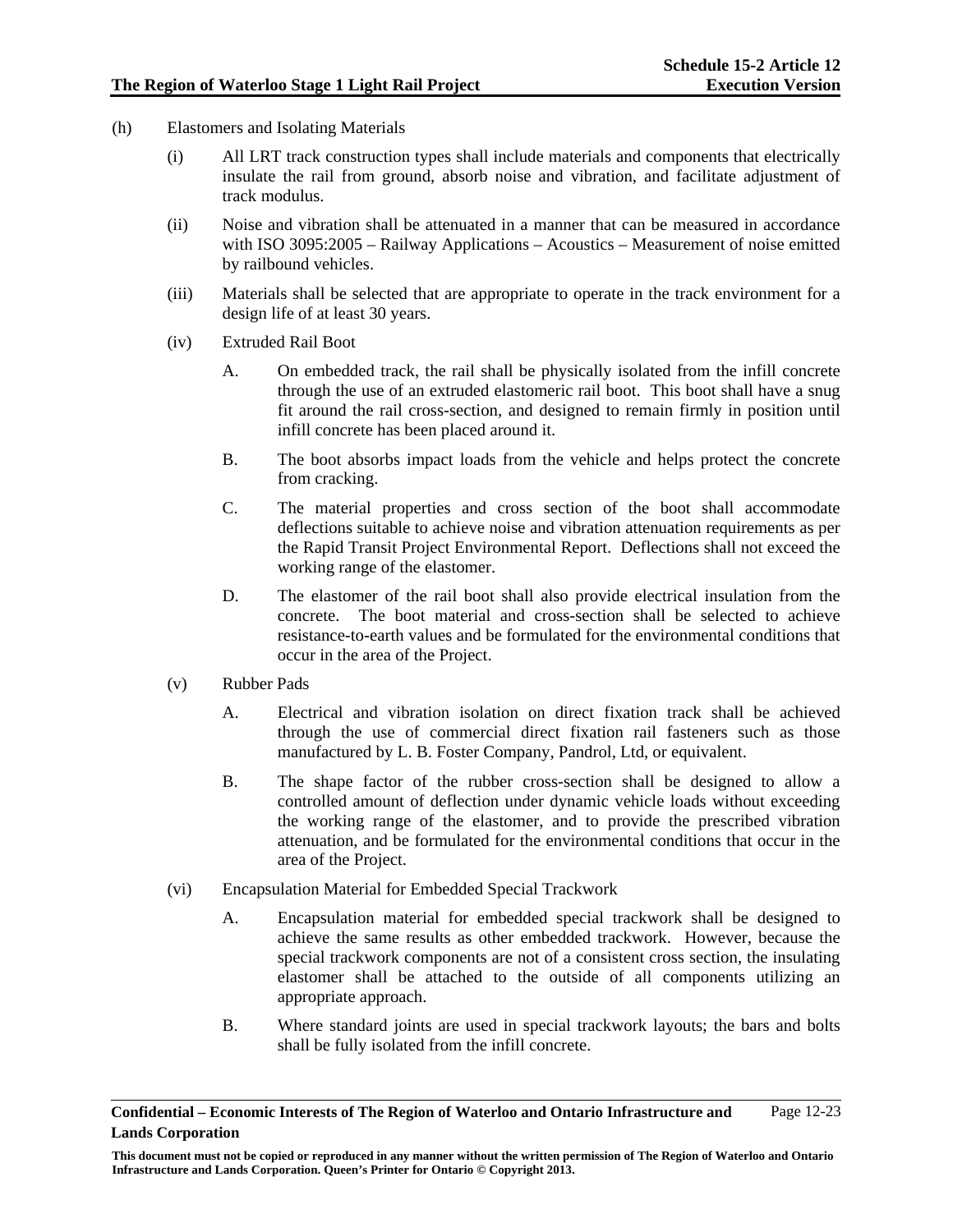- (h) Elastomers and Isolating Materials
	- (i) All LRT track construction types shall include materials and components that electrically insulate the rail from ground, absorb noise and vibration, and facilitate adjustment of track modulus.
	- (ii) Noise and vibration shall be attenuated in a manner that can be measured in accordance with ISO 3095:2005 – Railway Applications – Acoustics – Measurement of noise emitted by railbound vehicles.
	- (iii) Materials shall be selected that are appropriate to operate in the track environment for a design life of at least 30 years.
	- (iv) Extruded Rail Boot
		- A. On embedded track, the rail shall be physically isolated from the infill concrete through the use of an extruded elastomeric rail boot. This boot shall have a snug fit around the rail cross-section, and designed to remain firmly in position until infill concrete has been placed around it.
		- B. The boot absorbs impact loads from the vehicle and helps protect the concrete from cracking.
		- C. The material properties and cross section of the boot shall accommodate deflections suitable to achieve noise and vibration attenuation requirements as per the Rapid Transit Project Environmental Report. Deflections shall not exceed the working range of the elastomer.
		- D. The elastomer of the rail boot shall also provide electrical insulation from the concrete. The boot material and cross-section shall be selected to achieve resistance-to-earth values and be formulated for the environmental conditions that occur in the area of the Project.
	- (v) Rubber Pads
		- A. Electrical and vibration isolation on direct fixation track shall be achieved through the use of commercial direct fixation rail fasteners such as those manufactured by L. B. Foster Company, Pandrol, Ltd, or equivalent.
		- B. The shape factor of the rubber cross-section shall be designed to allow a controlled amount of deflection under dynamic vehicle loads without exceeding the working range of the elastomer, and to provide the prescribed vibration attenuation, and be formulated for the environmental conditions that occur in the area of the Project.
	- (vi) Encapsulation Material for Embedded Special Trackwork
		- A. Encapsulation material for embedded special trackwork shall be designed to achieve the same results as other embedded trackwork. However, because the special trackwork components are not of a consistent cross section, the insulating elastomer shall be attached to the outside of all components utilizing an appropriate approach.
		- B. Where standard joints are used in special trackwork layouts; the bars and bolts shall be fully isolated from the infill concrete.

**Confidential – Economic Interests of The Region of Waterloo and Ontario Infrastructure and Lands Corporation**  Page 12-23

**This document must not be copied or reproduced in any manner without the written permission of The Region of Waterloo and Ontario Infrastructure and Lands Corporation. Queen's Printer for Ontario © Copyright 2013.**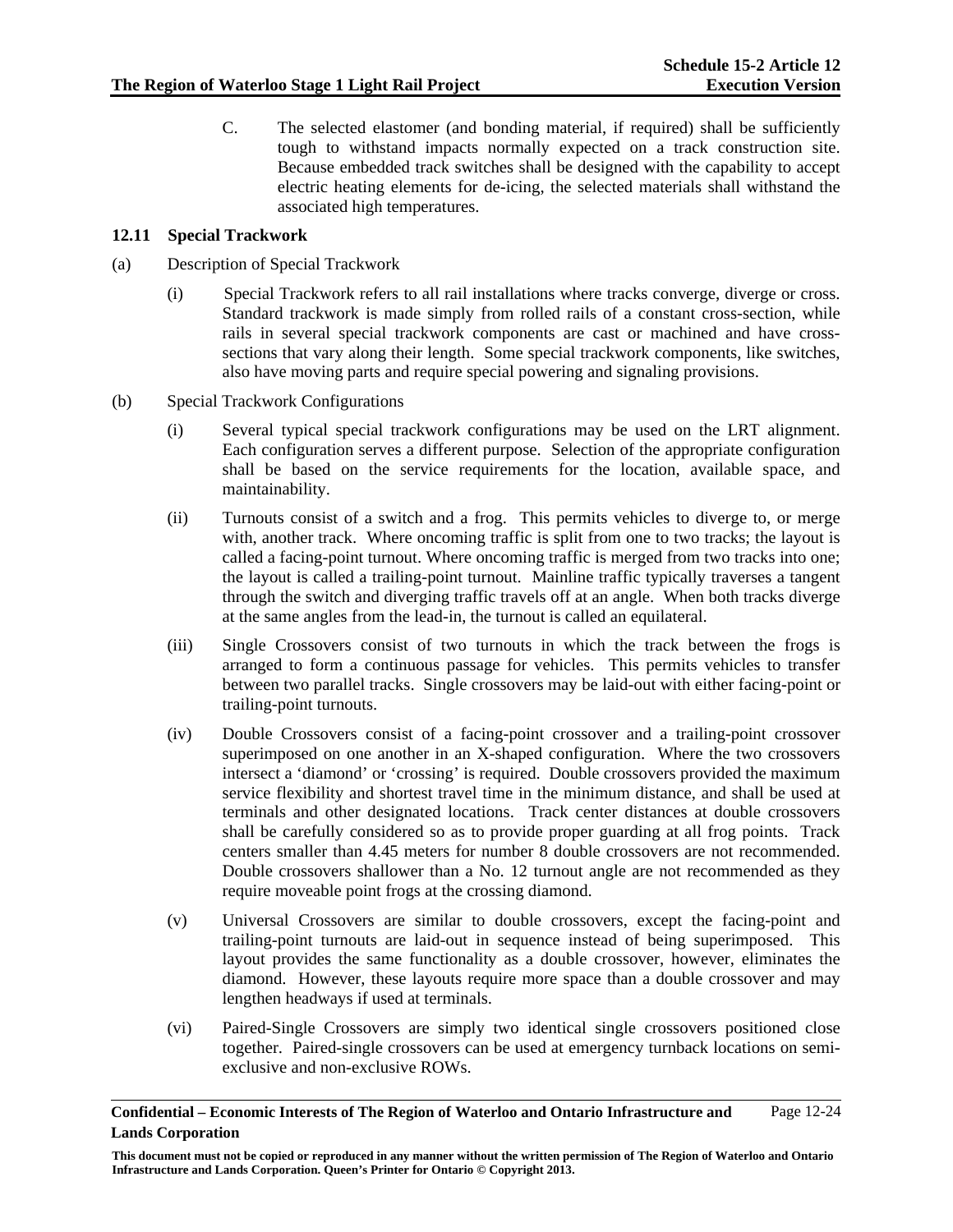C. The selected elastomer (and bonding material, if required) shall be sufficiently tough to withstand impacts normally expected on a track construction site. Because embedded track switches shall be designed with the capability to accept electric heating elements for de-icing, the selected materials shall withstand the associated high temperatures.

### **12.11 Special Trackwork**

- (a) Description of Special Trackwork
	- (i) Special Trackwork refers to all rail installations where tracks converge, diverge or cross. Standard trackwork is made simply from rolled rails of a constant cross-section, while rails in several special trackwork components are cast or machined and have crosssections that vary along their length. Some special trackwork components, like switches, also have moving parts and require special powering and signaling provisions.
- (b) Special Trackwork Configurations
	- (i) Several typical special trackwork configurations may be used on the LRT alignment. Each configuration serves a different purpose. Selection of the appropriate configuration shall be based on the service requirements for the location, available space, and maintainability.
	- (ii) Turnouts consist of a switch and a frog. This permits vehicles to diverge to, or merge with, another track. Where oncoming traffic is split from one to two tracks; the layout is called a facing-point turnout. Where oncoming traffic is merged from two tracks into one; the layout is called a trailing-point turnout. Mainline traffic typically traverses a tangent through the switch and diverging traffic travels off at an angle. When both tracks diverge at the same angles from the lead-in, the turnout is called an equilateral.
	- (iii) Single Crossovers consist of two turnouts in which the track between the frogs is arranged to form a continuous passage for vehicles. This permits vehicles to transfer between two parallel tracks. Single crossovers may be laid-out with either facing-point or trailing-point turnouts.
	- (iv) Double Crossovers consist of a facing-point crossover and a trailing-point crossover superimposed on one another in an X-shaped configuration. Where the two crossovers intersect a 'diamond' or 'crossing' is required. Double crossovers provided the maximum service flexibility and shortest travel time in the minimum distance, and shall be used at terminals and other designated locations. Track center distances at double crossovers shall be carefully considered so as to provide proper guarding at all frog points. Track centers smaller than 4.45 meters for number 8 double crossovers are not recommended. Double crossovers shallower than a No. 12 turnout angle are not recommended as they require moveable point frogs at the crossing diamond.
	- (v) Universal Crossovers are similar to double crossovers, except the facing-point and trailing-point turnouts are laid-out in sequence instead of being superimposed. This layout provides the same functionality as a double crossover, however, eliminates the diamond. However, these layouts require more space than a double crossover and may lengthen headways if used at terminals.
	- (vi) Paired-Single Crossovers are simply two identical single crossovers positioned close together. Paired-single crossovers can be used at emergency turnback locations on semiexclusive and non-exclusive ROWs.

**This document must not be copied or reproduced in any manner without the written permission of The Region of Waterloo and Ontario Infrastructure and Lands Corporation. Queen's Printer for Ontario © Copyright 2013.**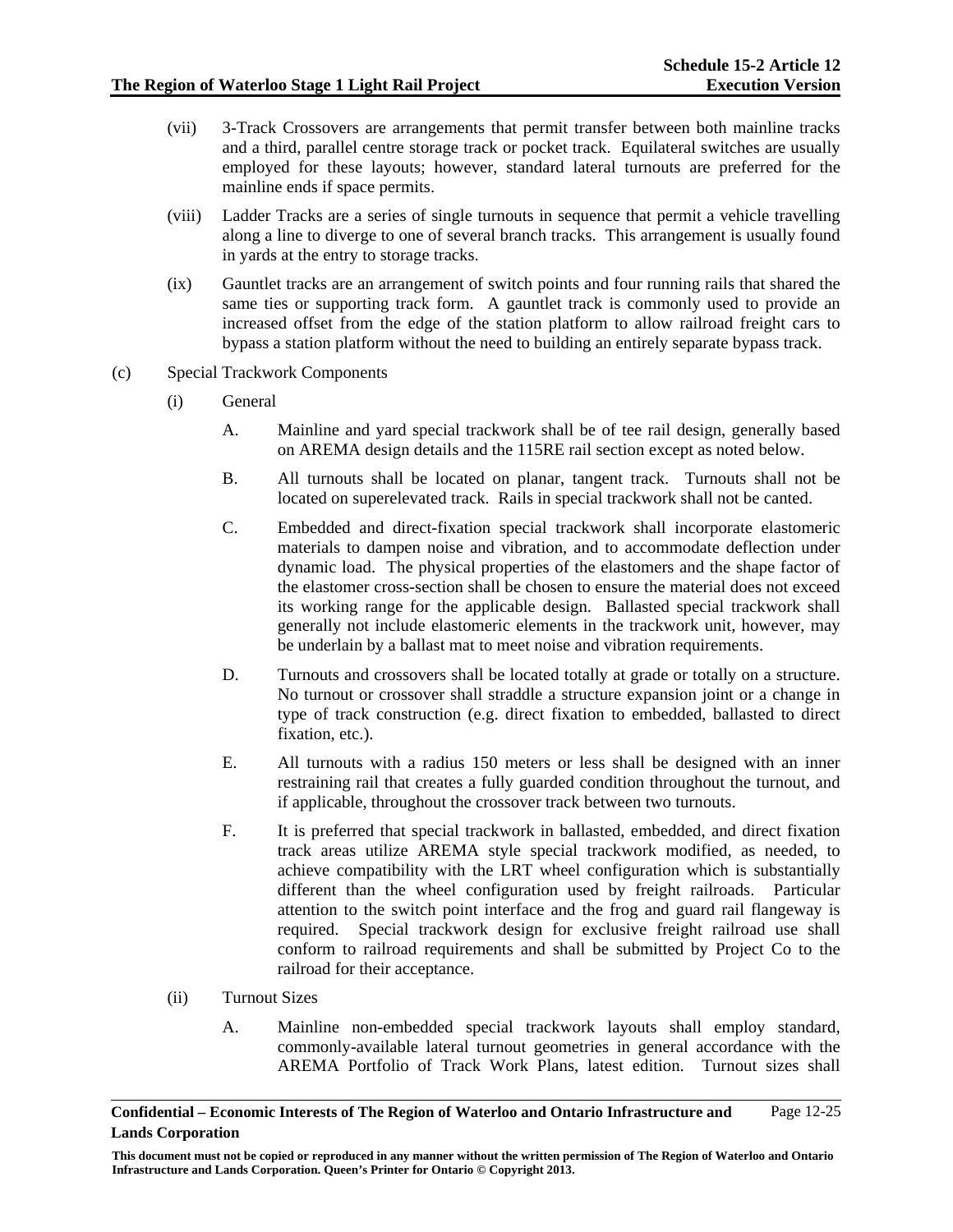- (vii) 3-Track Crossovers are arrangements that permit transfer between both mainline tracks and a third, parallel centre storage track or pocket track. Equilateral switches are usually employed for these layouts; however, standard lateral turnouts are preferred for the mainline ends if space permits.
- (viii) Ladder Tracks are a series of single turnouts in sequence that permit a vehicle travelling along a line to diverge to one of several branch tracks. This arrangement is usually found in yards at the entry to storage tracks.
- (ix) Gauntlet tracks are an arrangement of switch points and four running rails that shared the same ties or supporting track form. A gauntlet track is commonly used to provide an increased offset from the edge of the station platform to allow railroad freight cars to bypass a station platform without the need to building an entirely separate bypass track.
- (c) Special Trackwork Components
	- (i) General
		- A. Mainline and yard special trackwork shall be of tee rail design, generally based on AREMA design details and the 115RE rail section except as noted below.
		- B. All turnouts shall be located on planar, tangent track. Turnouts shall not be located on superelevated track. Rails in special trackwork shall not be canted.
		- C. Embedded and direct-fixation special trackwork shall incorporate elastomeric materials to dampen noise and vibration, and to accommodate deflection under dynamic load. The physical properties of the elastomers and the shape factor of the elastomer cross-section shall be chosen to ensure the material does not exceed its working range for the applicable design. Ballasted special trackwork shall generally not include elastomeric elements in the trackwork unit, however, may be underlain by a ballast mat to meet noise and vibration requirements.
		- D. Turnouts and crossovers shall be located totally at grade or totally on a structure. No turnout or crossover shall straddle a structure expansion joint or a change in type of track construction (e.g. direct fixation to embedded, ballasted to direct fixation, etc.).
		- E. All turnouts with a radius 150 meters or less shall be designed with an inner restraining rail that creates a fully guarded condition throughout the turnout, and if applicable, throughout the crossover track between two turnouts.
		- F. It is preferred that special trackwork in ballasted, embedded, and direct fixation track areas utilize AREMA style special trackwork modified, as needed, to achieve compatibility with the LRT wheel configuration which is substantially different than the wheel configuration used by freight railroads. Particular attention to the switch point interface and the frog and guard rail flangeway is required. Special trackwork design for exclusive freight railroad use shall conform to railroad requirements and shall be submitted by Project Co to the railroad for their acceptance.
	- (ii) Turnout Sizes
		- A. Mainline non-embedded special trackwork layouts shall employ standard, commonly-available lateral turnout geometries in general accordance with the AREMA Portfolio of Track Work Plans, latest edition. Turnout sizes shall

**Confidential – Economic Interests of The Region of Waterloo and Ontario Infrastructure and Lands Corporation**  Page 12-25

**This document must not be copied or reproduced in any manner without the written permission of The Region of Waterloo and Ontario Infrastructure and Lands Corporation. Queen's Printer for Ontario © Copyright 2013.**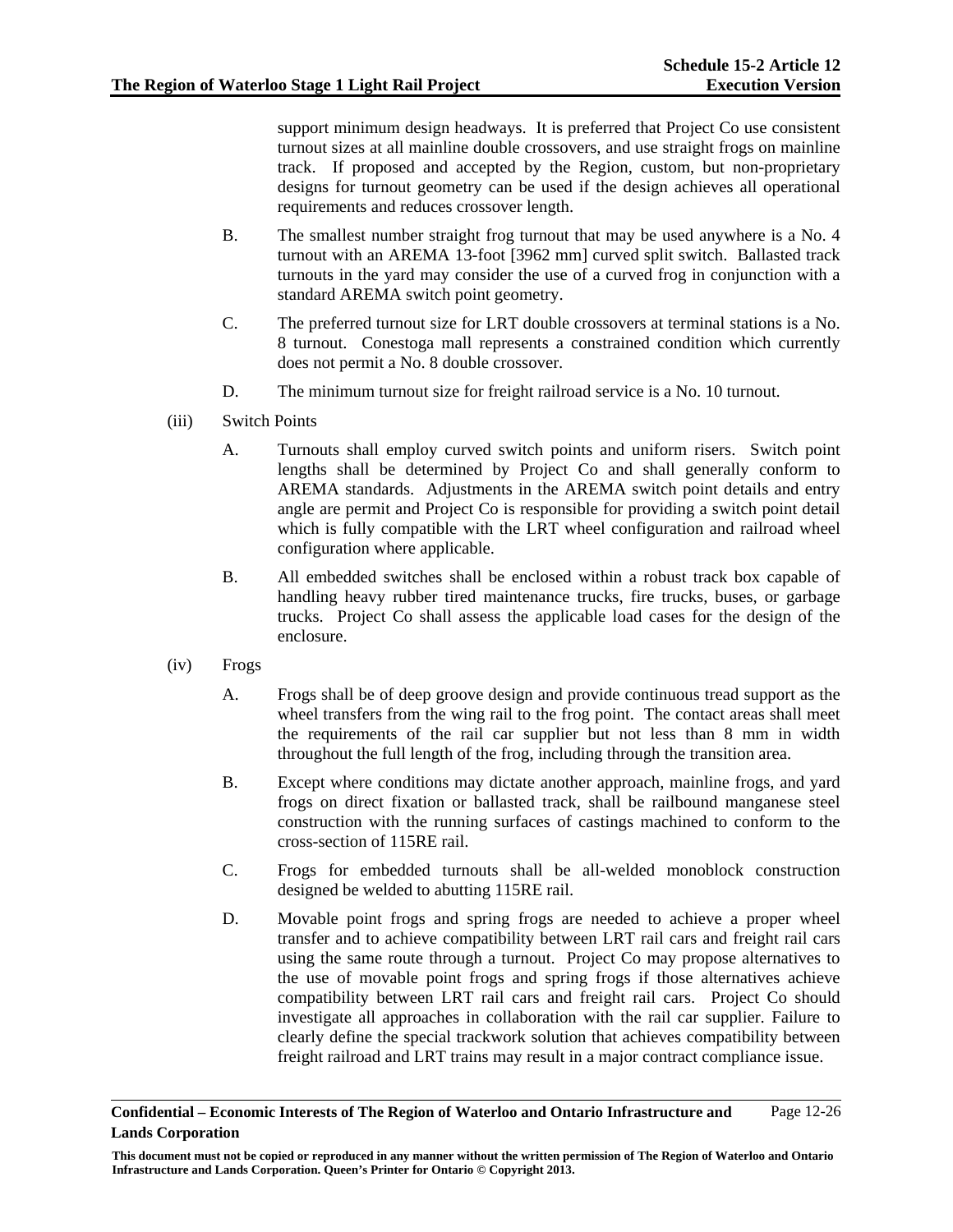support minimum design headways. It is preferred that Project Co use consistent turnout sizes at all mainline double crossovers, and use straight frogs on mainline track. If proposed and accepted by the Region, custom, but non-proprietary designs for turnout geometry can be used if the design achieves all operational requirements and reduces crossover length.

- B. The smallest number straight frog turnout that may be used anywhere is a No. 4 turnout with an AREMA 13-foot [3962 mm] curved split switch. Ballasted track turnouts in the yard may consider the use of a curved frog in conjunction with a standard AREMA switch point geometry.
- C. The preferred turnout size for LRT double crossovers at terminal stations is a No. 8 turnout. Conestoga mall represents a constrained condition which currently does not permit a No. 8 double crossover.
- D. The minimum turnout size for freight railroad service is a No. 10 turnout.
- (iii) Switch Points
	- A. Turnouts shall employ curved switch points and uniform risers. Switch point lengths shall be determined by Project Co and shall generally conform to AREMA standards. Adjustments in the AREMA switch point details and entry angle are permit and Project Co is responsible for providing a switch point detail which is fully compatible with the LRT wheel configuration and railroad wheel configuration where applicable.
	- B. All embedded switches shall be enclosed within a robust track box capable of handling heavy rubber tired maintenance trucks, fire trucks, buses, or garbage trucks. Project Co shall assess the applicable load cases for the design of the enclosure.
- (iv) Frogs
	- A. Frogs shall be of deep groove design and provide continuous tread support as the wheel transfers from the wing rail to the frog point. The contact areas shall meet the requirements of the rail car supplier but not less than 8 mm in width throughout the full length of the frog, including through the transition area.
	- B. Except where conditions may dictate another approach, mainline frogs, and yard frogs on direct fixation or ballasted track, shall be railbound manganese steel construction with the running surfaces of castings machined to conform to the cross-section of 115RE rail.
	- C. Frogs for embedded turnouts shall be all-welded monoblock construction designed be welded to abutting 115RE rail.
	- D. Movable point frogs and spring frogs are needed to achieve a proper wheel transfer and to achieve compatibility between LRT rail cars and freight rail cars using the same route through a turnout. Project Co may propose alternatives to the use of movable point frogs and spring frogs if those alternatives achieve compatibility between LRT rail cars and freight rail cars. Project Co should investigate all approaches in collaboration with the rail car supplier. Failure to clearly define the special trackwork solution that achieves compatibility between freight railroad and LRT trains may result in a major contract compliance issue.

**Confidential – Economic Interests of The Region of Waterloo and Ontario Infrastructure and Lands Corporation**  Page 12-26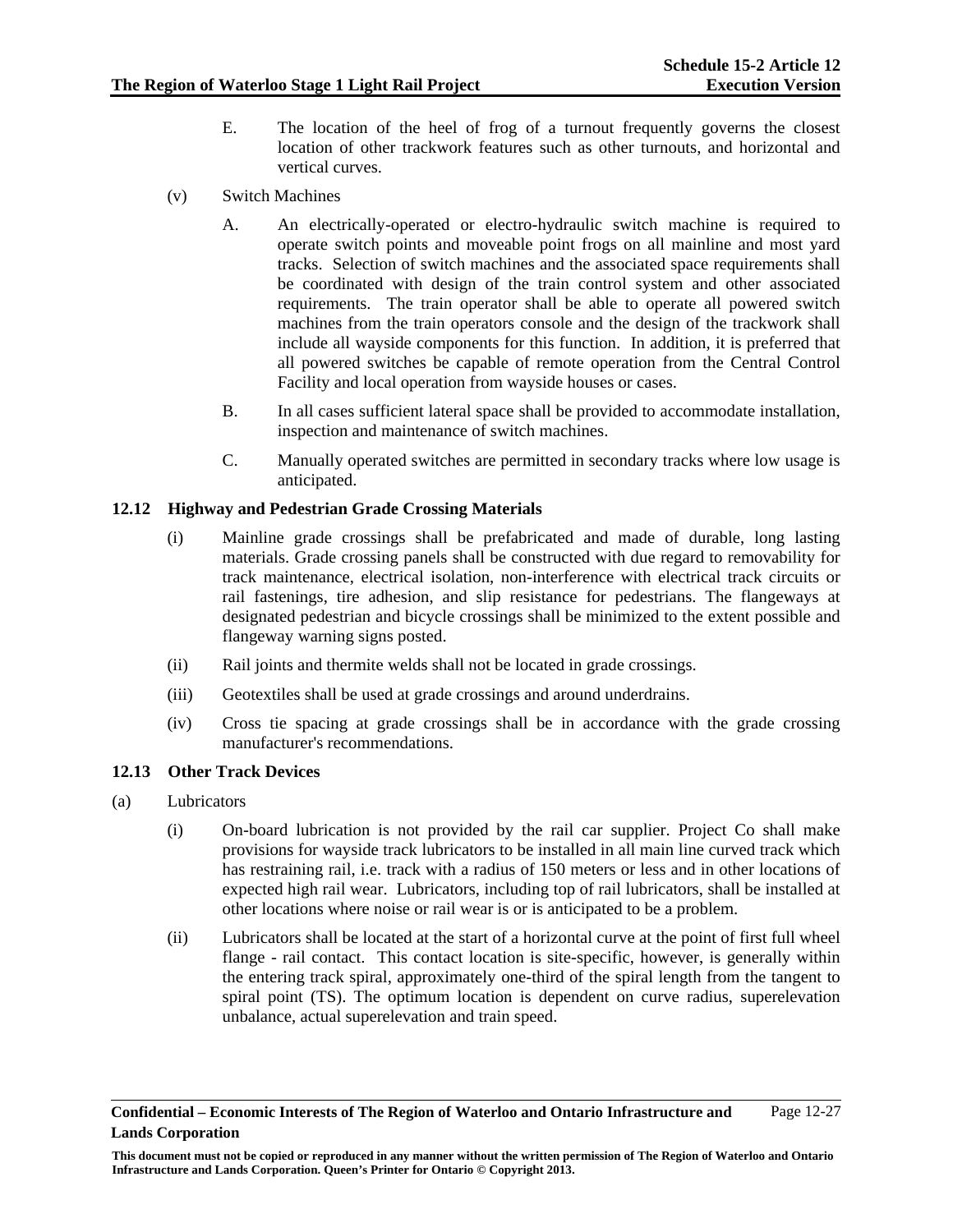- E. The location of the heel of frog of a turnout frequently governs the closest location of other trackwork features such as other turnouts, and horizontal and vertical curves.
- (v) Switch Machines
	- A. An electrically-operated or electro-hydraulic switch machine is required to operate switch points and moveable point frogs on all mainline and most yard tracks. Selection of switch machines and the associated space requirements shall be coordinated with design of the train control system and other associated requirements. The train operator shall be able to operate all powered switch machines from the train operators console and the design of the trackwork shall include all wayside components for this function. In addition, it is preferred that all powered switches be capable of remote operation from the Central Control Facility and local operation from wayside houses or cases.
	- B. In all cases sufficient lateral space shall be provided to accommodate installation, inspection and maintenance of switch machines.
	- C. Manually operated switches are permitted in secondary tracks where low usage is anticipated.

### **12.12 Highway and Pedestrian Grade Crossing Materials**

- (i) Mainline grade crossings shall be prefabricated and made of durable, long lasting materials. Grade crossing panels shall be constructed with due regard to removability for track maintenance, electrical isolation, non-interference with electrical track circuits or rail fastenings, tire adhesion, and slip resistance for pedestrians. The flangeways at designated pedestrian and bicycle crossings shall be minimized to the extent possible and flangeway warning signs posted.
- (ii) Rail joints and thermite welds shall not be located in grade crossings.
- (iii) Geotextiles shall be used at grade crossings and around underdrains.
- (iv) Cross tie spacing at grade crossings shall be in accordance with the grade crossing manufacturer's recommendations.

### **12.13 Other Track Devices**

- (a) Lubricators
	- (i) On-board lubrication is not provided by the rail car supplier. Project Co shall make provisions for wayside track lubricators to be installed in all main line curved track which has restraining rail, i.e. track with a radius of 150 meters or less and in other locations of expected high rail wear. Lubricators, including top of rail lubricators, shall be installed at other locations where noise or rail wear is or is anticipated to be a problem.
	- (ii) Lubricators shall be located at the start of a horizontal curve at the point of first full wheel flange - rail contact. This contact location is site-specific, however, is generally within the entering track spiral, approximately one-third of the spiral length from the tangent to spiral point (TS). The optimum location is dependent on curve radius, superelevation unbalance, actual superelevation and train speed.

**This document must not be copied or reproduced in any manner without the written permission of The Region of Waterloo and Ontario Infrastructure and Lands Corporation. Queen's Printer for Ontario © Copyright 2013.**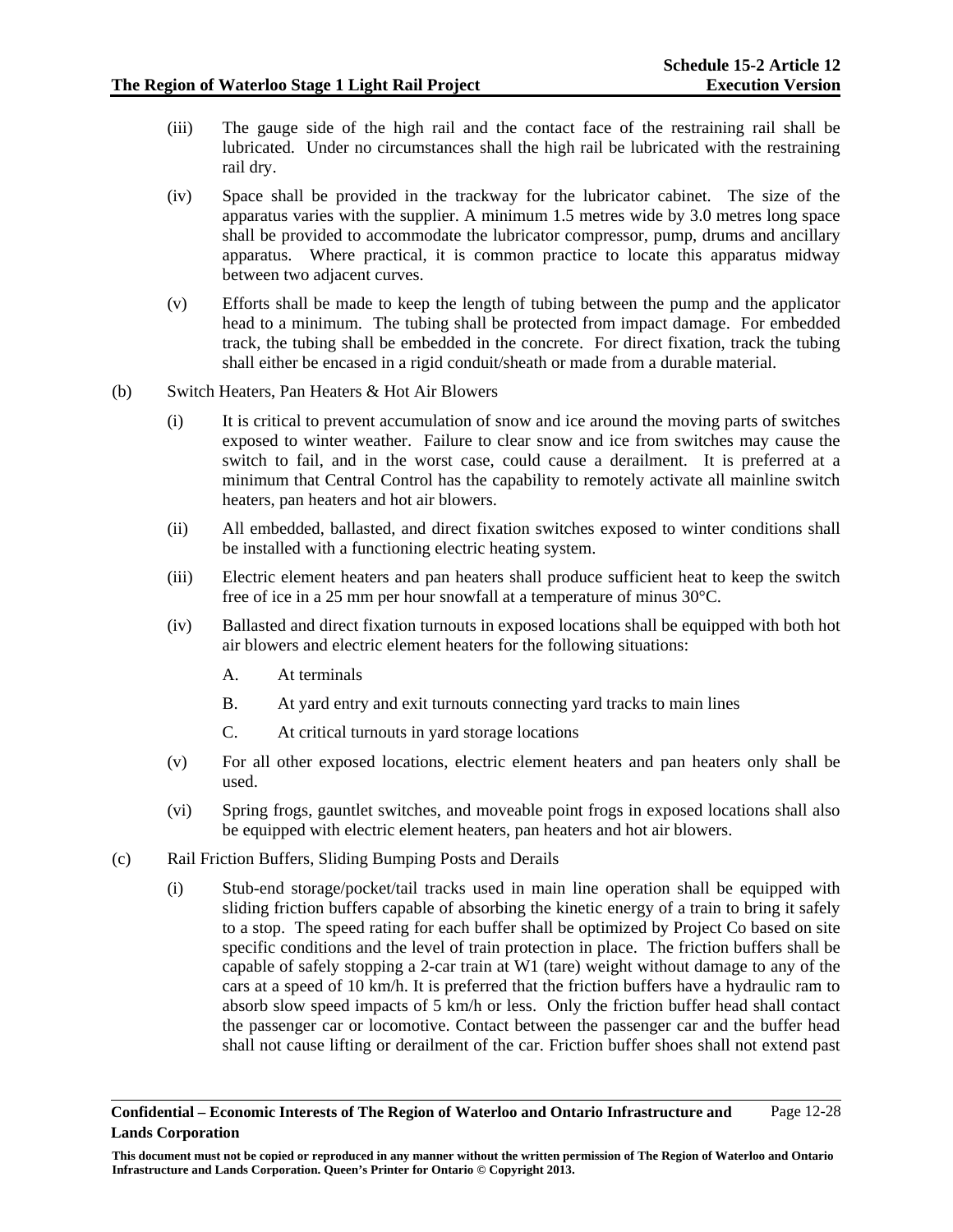- (iii) The gauge side of the high rail and the contact face of the restraining rail shall be lubricated. Under no circumstances shall the high rail be lubricated with the restraining rail dry.
- (iv) Space shall be provided in the trackway for the lubricator cabinet. The size of the apparatus varies with the supplier. A minimum 1.5 metres wide by 3.0 metres long space shall be provided to accommodate the lubricator compressor, pump, drums and ancillary apparatus. Where practical, it is common practice to locate this apparatus midway between two adjacent curves.
- (v) Efforts shall be made to keep the length of tubing between the pump and the applicator head to a minimum. The tubing shall be protected from impact damage. For embedded track, the tubing shall be embedded in the concrete. For direct fixation, track the tubing shall either be encased in a rigid conduit/sheath or made from a durable material.
- (b) Switch Heaters, Pan Heaters & Hot Air Blowers
	- (i) It is critical to prevent accumulation of snow and ice around the moving parts of switches exposed to winter weather. Failure to clear snow and ice from switches may cause the switch to fail, and in the worst case, could cause a derailment. It is preferred at a minimum that Central Control has the capability to remotely activate all mainline switch heaters, pan heaters and hot air blowers.
	- (ii) All embedded, ballasted, and direct fixation switches exposed to winter conditions shall be installed with a functioning electric heating system.
	- (iii) Electric element heaters and pan heaters shall produce sufficient heat to keep the switch free of ice in a 25 mm per hour snowfall at a temperature of minus 30°C.
	- (iv) Ballasted and direct fixation turnouts in exposed locations shall be equipped with both hot air blowers and electric element heaters for the following situations:
		- A. At terminals
		- B. At yard entry and exit turnouts connecting yard tracks to main lines
		- C. At critical turnouts in yard storage locations
	- (v) For all other exposed locations, electric element heaters and pan heaters only shall be used.
	- (vi) Spring frogs, gauntlet switches, and moveable point frogs in exposed locations shall also be equipped with electric element heaters, pan heaters and hot air blowers.
- (c) Rail Friction Buffers, Sliding Bumping Posts and Derails
	- (i) Stub-end storage/pocket/tail tracks used in main line operation shall be equipped with sliding friction buffers capable of absorbing the kinetic energy of a train to bring it safely to a stop. The speed rating for each buffer shall be optimized by Project Co based on site specific conditions and the level of train protection in place. The friction buffers shall be capable of safely stopping a 2-car train at W1 (tare) weight without damage to any of the cars at a speed of 10 km/h. It is preferred that the friction buffers have a hydraulic ram to absorb slow speed impacts of 5 km/h or less. Only the friction buffer head shall contact the passenger car or locomotive. Contact between the passenger car and the buffer head shall not cause lifting or derailment of the car. Friction buffer shoes shall not extend past

**Confidential – Economic Interests of The Region of Waterloo and Ontario Infrastructure and Lands Corporation**  Page 12-28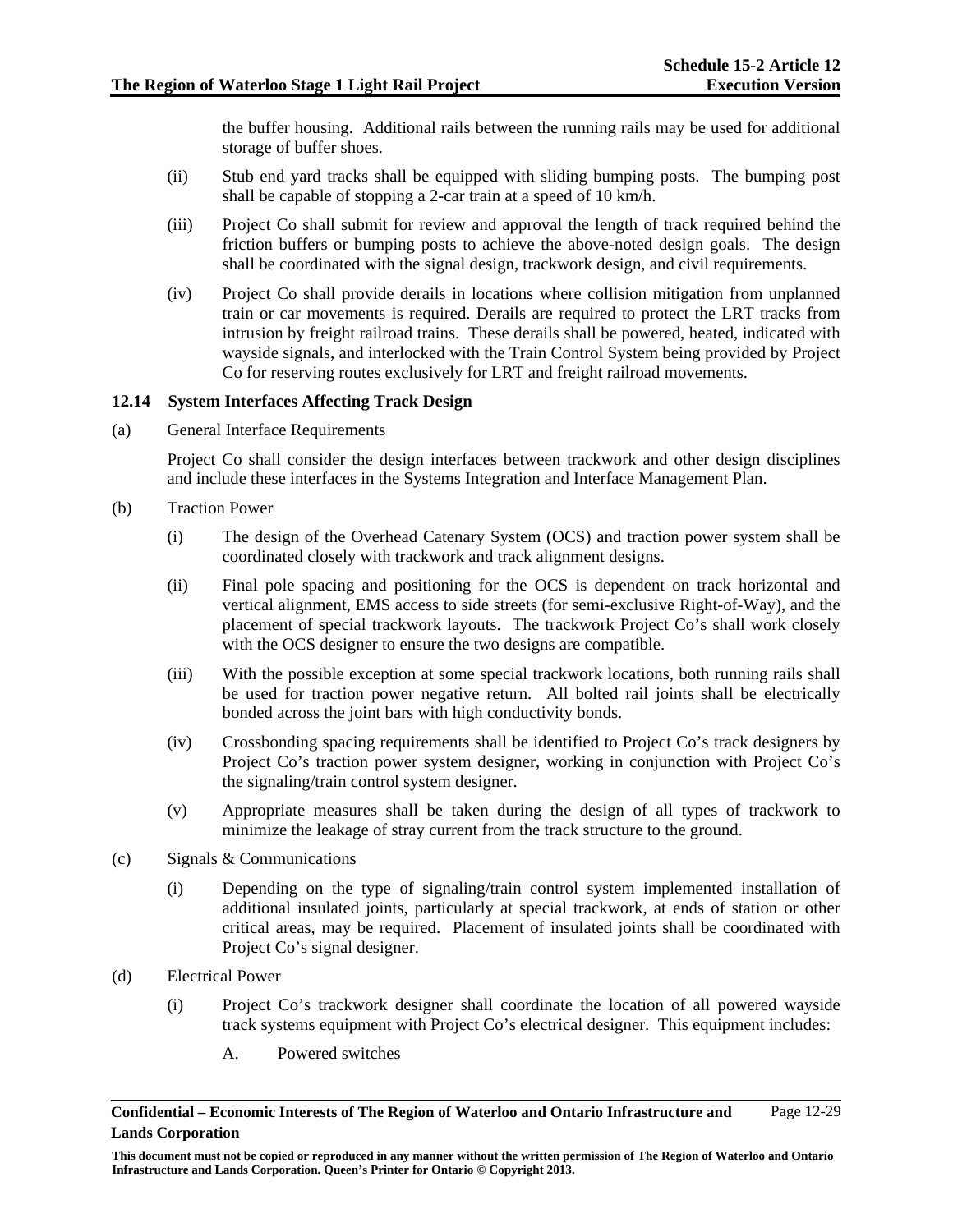the buffer housing. Additional rails between the running rails may be used for additional storage of buffer shoes.

- (ii) Stub end yard tracks shall be equipped with sliding bumping posts. The bumping post shall be capable of stopping a 2-car train at a speed of 10 km/h.
- (iii) Project Co shall submit for review and approval the length of track required behind the friction buffers or bumping posts to achieve the above-noted design goals. The design shall be coordinated with the signal design, trackwork design, and civil requirements.
- (iv) Project Co shall provide derails in locations where collision mitigation from unplanned train or car movements is required. Derails are required to protect the LRT tracks from intrusion by freight railroad trains. These derails shall be powered, heated, indicated with wayside signals, and interlocked with the Train Control System being provided by Project Co for reserving routes exclusively for LRT and freight railroad movements.

### **12.14 System Interfaces Affecting Track Design**

(a) General Interface Requirements

Project Co shall consider the design interfaces between trackwork and other design disciplines and include these interfaces in the Systems Integration and Interface Management Plan.

- (b) Traction Power
	- (i) The design of the Overhead Catenary System (OCS) and traction power system shall be coordinated closely with trackwork and track alignment designs.
	- (ii) Final pole spacing and positioning for the OCS is dependent on track horizontal and vertical alignment, EMS access to side streets (for semi-exclusive Right-of-Way), and the placement of special trackwork layouts. The trackwork Project Co's shall work closely with the OCS designer to ensure the two designs are compatible.
	- (iii) With the possible exception at some special trackwork locations, both running rails shall be used for traction power negative return. All bolted rail joints shall be electrically bonded across the joint bars with high conductivity bonds.
	- (iv) Crossbonding spacing requirements shall be identified to Project Co's track designers by Project Co's traction power system designer, working in conjunction with Project Co's the signaling/train control system designer.
	- (v) Appropriate measures shall be taken during the design of all types of trackwork to minimize the leakage of stray current from the track structure to the ground.
- (c) Signals & Communications
	- (i) Depending on the type of signaling/train control system implemented installation of additional insulated joints, particularly at special trackwork, at ends of station or other critical areas, may be required. Placement of insulated joints shall be coordinated with Project Co's signal designer.
- (d) Electrical Power
	- (i) Project Co's trackwork designer shall coordinate the location of all powered wayside track systems equipment with Project Co's electrical designer. This equipment includes:
		- A. Powered switches

**This document must not be copied or reproduced in any manner without the written permission of The Region of Waterloo and Ontario Infrastructure and Lands Corporation. Queen's Printer for Ontario © Copyright 2013.**